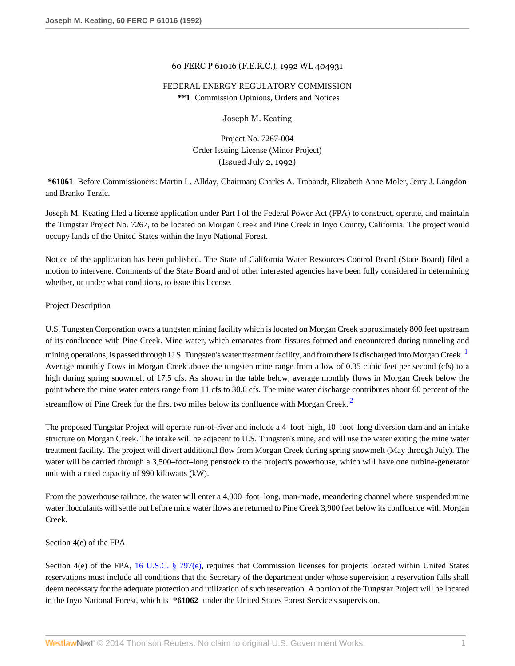### 60 FERC P 61016 (F.E.R.C.), 1992 WL 404931

# FEDERAL ENERGY REGULATORY COMMISSION **\*\*1** Commission Opinions, Orders and Notices

<span id="page-0-0"></span>Joseph M. Keating

<span id="page-0-1"></span>Project No. 7267-004 Order Issuing License (Minor Project) (Issued July 2, 1992)

**\*61061** Before Commissioners: Martin L. Allday, Chairman; Charles A. Trabandt, Elizabeth Anne Moler, Jerry J. Langdon and Branko Terzic.

Joseph M. Keating filed a license application under Part I of the Federal Power Act (FPA) to construct, operate, and maintain the Tungstar Project No. 7267, to be located on Morgan Creek and Pine Creek in Inyo County, California. The project would occupy lands of the United States within the Inyo National Forest.

Notice of the application has been published. The State of California Water Resources Control Board (State Board) filed a motion to intervene. Comments of the State Board and of other interested agencies have been fully considered in determining whether, or under what conditions, to issue this license.

### Project Description

U.S. Tungsten Corporation owns a tungsten mining facility which is located on Morgan Creek approximately 800 feet upstream of its confluence with Pine Creek. Mine water, which emanates from fissures formed and encountered during tunneling and

mining operations, is passed through U.S. Tungsten's water treatment facility, and from there is discharged into Morgan Creek.<sup>[1](#page-37-0)</sup> Average monthly flows in Morgan Creek above the tungsten mine range from a low of 0.35 cubic feet per second (cfs) to a high during spring snowmelt of 17.5 cfs. As shown in the table below, average monthly flows in Morgan Creek below the point where the mine water enters range from 11 cfs to 30.6 cfs. The mine water discharge contributes about 60 percent of the streamflow of Pine Creek for the first two miles below its confluence with Morgan Creek.<sup>[2](#page-37-1)</sup>

The proposed Tungstar Project will operate run-of-river and include a 4–foot–high, 10–foot–long diversion dam and an intake structure on Morgan Creek. The intake will be adjacent to U.S. Tungsten's mine, and will use the water exiting the mine water treatment facility. The project will divert additional flow from Morgan Creek during spring snowmelt (May through July). The water will be carried through a 3,500–foot–long penstock to the project's powerhouse, which will have one turbine-generator unit with a rated capacity of 990 kilowatts (kW).

From the powerhouse tailrace, the water will enter a 4,000–foot–long, man-made, meandering channel where suspended mine water flocculants will settle out before mine water flows are returned to Pine Creek 3,900 feet below its confluence with Morgan Creek.

#### Section 4(e) of the FPA

Section 4(e) of the FPA, [16 U.S.C. § 797\(e\),](http://www.westlaw.com/Link/Document/FullText?findType=L&pubNum=1000546&cite=16USCAS797&originatingDoc=I8bf25e49392d11db80c2e56cac103088&refType=LQ&originationContext=document&vr=3.0&rs=cblt1.0&transitionType=DocumentItem&contextData=(sc.DocLink)) requires that Commission licenses for projects located within United States reservations must include all conditions that the Secretary of the department under whose supervision a reservation falls shall deem necessary for the adequate protection and utilization of such reservation. A portion of the Tungstar Project will be located in the Inyo National Forest, which is **\*61062** under the United States Forest Service's supervision.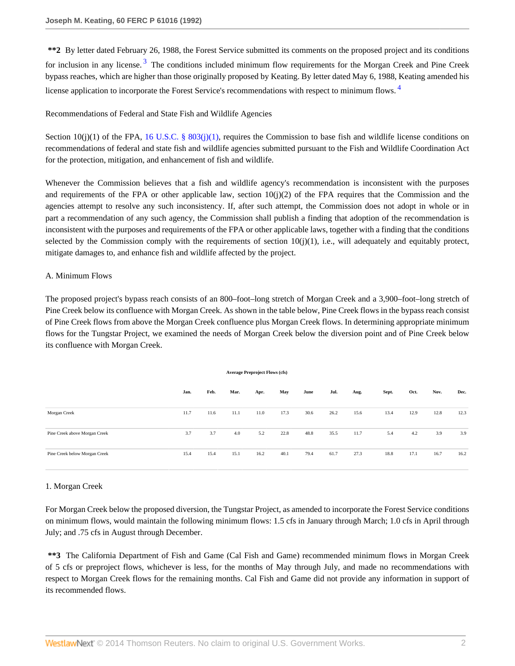<span id="page-1-0"></span>**\*\*2** By letter dated February 26, 1988, the Forest Service submitted its comments on the proposed project and its conditions for inclusion in any license.<sup>[3](#page-37-2)</sup> The conditions included minimum flow requirements for the Morgan Creek and Pine Creek bypass reaches, which are higher than those originally proposed by Keating. By letter dated May 6, 1988, Keating amended his license application to incorporate the Forest Service's recommendations with respect to minimum flows. [4](#page-37-3)

## <span id="page-1-1"></span>Recommendations of Federal and State Fish and Wildlife Agencies

Section 10(j)(1) of the FPA, [16 U.S.C. § 803\(j\)\(1\),](http://www.westlaw.com/Link/Document/FullText?findType=L&pubNum=1000546&cite=16USCAS803&originatingDoc=I8bf25e49392d11db80c2e56cac103088&refType=LQ&originationContext=document&vr=3.0&rs=cblt1.0&transitionType=DocumentItem&contextData=(sc.DocLink)) requires the Commission to base fish and wildlife license conditions on recommendations of federal and state fish and wildlife agencies submitted pursuant to the Fish and Wildlife Coordination Act for the protection, mitigation, and enhancement of fish and wildlife.

Whenever the Commission believes that a fish and wildlife agency's recommendation is inconsistent with the purposes and requirements of the FPA or other applicable law, section  $10(j)(2)$  of the FPA requires that the Commission and the agencies attempt to resolve any such inconsistency. If, after such attempt, the Commission does not adopt in whole or in part a recommendation of any such agency, the Commission shall publish a finding that adoption of the recommendation is inconsistent with the purposes and requirements of the FPA or other applicable laws, together with a finding that the conditions selected by the Commission comply with the requirements of section  $10(j)(1)$ , i.e., will adequately and equitably protect, mitigate damages to, and enhance fish and wildlife affected by the project.

### A. Minimum Flows

The proposed project's bypass reach consists of an 800–foot–long stretch of Morgan Creek and a 3,900–foot–long stretch of Pine Creek below its confluence with Morgan Creek. As shown in the table below, Pine Creek flows in the bypass reach consist of Pine Creek flows from above the Morgan Creek confluence plus Morgan Creek flows. In determining appropriate minimum flows for the Tungstar Project, we examined the needs of Morgan Creek below the diversion point and of Pine Creek below its confluence with Morgan Creek.

| <b>Average Preproject Flows (cfs)</b> |      |      |      |      |      |      |      |      |       |      |      |      |
|---------------------------------------|------|------|------|------|------|------|------|------|-------|------|------|------|
|                                       | Jan. | Feb. | Mar. | Apr. | May  | June | Jul. | Aug. | Sept. | Oct. | Nov. | Dec. |
| Morgan Creek                          | 11.7 | 11.6 | 11.1 | 11.0 | 17.3 | 30.6 | 26.2 | 15.6 | 13.4  | 12.9 | 12.8 | 12.3 |
| Pine Creek above Morgan Creek         | 3.7  | 3.7  | 4.0  | 5.2  | 22.8 | 48.8 | 35.5 | 11.7 | 5.4   | 4.2  | 3.9  | 3.9  |
| Pine Creek below Morgan Creek         | 15.4 | 15.4 | 15.1 | 16.2 | 40.1 | 79.4 | 61.7 | 27.3 | 18.8  | 17.1 | 16.7 | 16.2 |

# 1. Morgan Creek

For Morgan Creek below the proposed diversion, the Tungstar Project, as amended to incorporate the Forest Service conditions on minimum flows, would maintain the following minimum flows: 1.5 cfs in January through March; 1.0 cfs in April through July; and .75 cfs in August through December.

**\*\*3** The California Department of Fish and Game (Cal Fish and Game) recommended minimum flows in Morgan Creek of 5 cfs or preproject flows, whichever is less, for the months of May through July, and made no recommendations with respect to Morgan Creek flows for the remaining months. Cal Fish and Game did not provide any information in support of its recommended flows.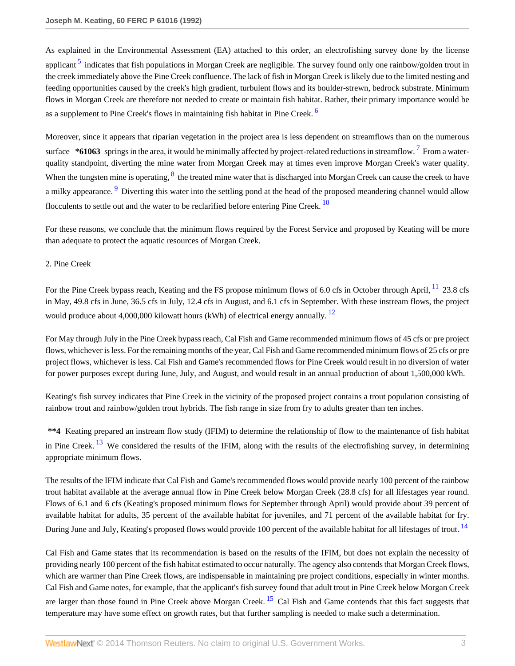<span id="page-2-0"></span>As explained in the Environmental Assessment (EA) attached to this order, an electrofishing survey done by the license applicant <sup>[5](#page-37-4)</sup> indicates that fish populations in Morgan Creek are negligible. The survey found only one rainbow/golden trout in the creek immediately above the Pine Creek confluence. The lack of fish in Morgan Creek is likely due to the limited nesting and feeding opportunities caused by the creek's high gradient, turbulent flows and its boulder-strewn, bedrock substrate. Minimum flows in Morgan Creek are therefore not needed to create or maintain fish habitat. Rather, their primary importance would be as a supplement to Pine Creek's flows in maintaining fish habitat in Pine Creek. <sup>[6](#page-37-5)</sup>

<span id="page-2-3"></span><span id="page-2-2"></span><span id="page-2-1"></span>Moreover, since it appears that riparian vegetation in the project area is less dependent on streamflows than on the numerous surface \*61063 springs in the area, it would be minimally affected by project-related reductions in streamflow. <sup>[7](#page-37-6)</sup> From a waterquality standpoint, diverting the mine water from Morgan Creek may at times even improve Morgan Creek's water quality. When the tungsten mine is operating,  $\frac{8}{3}$  $\frac{8}{3}$  $\frac{8}{3}$  the treated mine water that is discharged into Morgan Creek can cause the creek to have a milky appearance. <sup>[9](#page-37-8)</sup> Diverting this water into the settling pond at the head of the proposed meandering channel would allow flocculents to settle out and the water to be reclarified before entering Pine Creek.  $10$ 

<span id="page-2-5"></span><span id="page-2-4"></span>For these reasons, we conclude that the minimum flows required by the Forest Service and proposed by Keating will be more than adequate to protect the aquatic resources of Morgan Creek.

# 2. Pine Creek

<span id="page-2-7"></span><span id="page-2-6"></span>For the Pine Creek bypass reach, Keating and the FS propose minimum flows of 6.0 cfs in October through April, <sup>[11](#page-37-10)</sup> 23.8 cfs in May, 49.8 cfs in June, 36.5 cfs in July, 12.4 cfs in August, and 6.1 cfs in September. With these instream flows, the project would produce about 4,000,000 kilowatt hours (kWh) of electrical energy annually.  $^{12}$  $^{12}$  $^{12}$ 

For May through July in the Pine Creek bypass reach, Cal Fish and Game recommended minimum flows of 45 cfs or pre project flows, whichever is less. For the remaining months of the year, Cal Fish and Game recommended minimum flows of 25 cfs or pre project flows, whichever is less. Cal Fish and Game's recommended flows for Pine Creek would result in no diversion of water for power purposes except during June, July, and August, and would result in an annual production of about 1,500,000 kWh.

Keating's fish survey indicates that Pine Creek in the vicinity of the proposed project contains a trout population consisting of rainbow trout and rainbow/golden trout hybrids. The fish range in size from fry to adults greater than ten inches.

<span id="page-2-8"></span>**\*\*4** Keating prepared an instream flow study (IFIM) to determine the relationship of flow to the maintenance of fish habitat in Pine Creek.  $^{13}$  $^{13}$  $^{13}$  We considered the results of the IFIM, along with the results of the electrofishing survey, in determining appropriate minimum flows.

The results of the IFIM indicate that Cal Fish and Game's recommended flows would provide nearly 100 percent of the rainbow trout habitat available at the average annual flow in Pine Creek below Morgan Creek (28.8 cfs) for all lifestages year round. Flows of 6.1 and 6 cfs (Keating's proposed minimum flows for September through April) would provide about 39 percent of available habitat for adults, 35 percent of the available habitat for juveniles, and 71 percent of the available habitat for fry. During June and July, Keating's proposed flows would provide 100 percent of the available habitat for all lifestages of trout. <sup>[14](#page-37-13)</sup>

<span id="page-2-10"></span><span id="page-2-9"></span>Cal Fish and Game states that its recommendation is based on the results of the IFIM, but does not explain the necessity of providing nearly 100 percent of the fish habitat estimated to occur naturally. The agency also contends that Morgan Creek flows, which are warmer than Pine Creek flows, are indispensable in maintaining pre project conditions, especially in winter months. Cal Fish and Game notes, for example, that the applicant's fish survey found that adult trout in Pine Creek below Morgan Creek are larger than those found in Pine Creek above Morgan Creek. <sup>[15](#page-37-14)</sup> Cal Fish and Game contends that this fact suggests that temperature may have some effect on growth rates, but that further sampling is needed to make such a determination.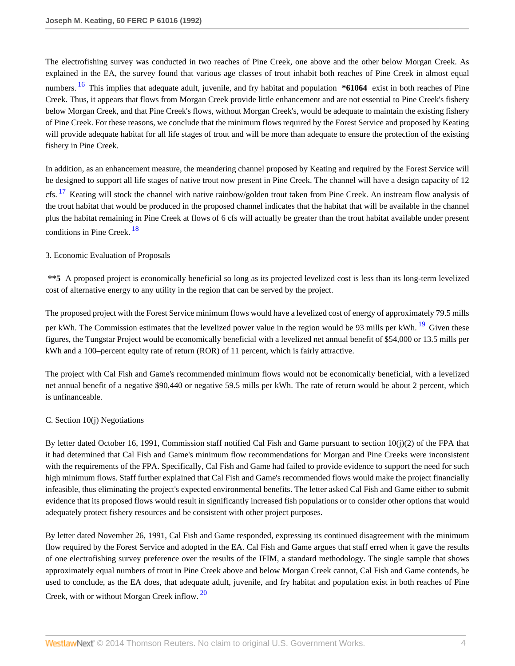<span id="page-3-0"></span>The electrofishing survey was conducted in two reaches of Pine Creek, one above and the other below Morgan Creek. As explained in the EA, the survey found that various age classes of trout inhabit both reaches of Pine Creek in almost equal numbers. [16](#page-37-15) This implies that adequate adult, juvenile, and fry habitat and population **\*61064** exist in both reaches of Pine Creek. Thus, it appears that flows from Morgan Creek provide little enhancement and are not essential to Pine Creek's fishery below Morgan Creek, and that Pine Creek's flows, without Morgan Creek's, would be adequate to maintain the existing fishery of Pine Creek. For these reasons, we conclude that the minimum flows required by the Forest Service and proposed by Keating will provide adequate habitat for all life stages of trout and will be more than adequate to ensure the protection of the existing fishery in Pine Creek.

In addition, as an enhancement measure, the meandering channel proposed by Keating and required by the Forest Service will be designed to support all life stages of native trout now present in Pine Creek. The channel will have a design capacity of 12

<span id="page-3-1"></span>cfs. <sup>[17](#page-37-16)</sup> Keating will stock the channel with native rainbow/golden trout taken from Pine Creek. An instream flow analysis of the trout habitat that would be produced in the proposed channel indicates that the habitat that will be available in the channel plus the habitat remaining in Pine Creek at flows of 6 cfs will actually be greater than the trout habitat available under present conditions in Pine Creek.<sup>[18](#page-37-17)</sup>

### <span id="page-3-2"></span>3. Economic Evaluation of Proposals

**\*\*5** A proposed project is economically beneficial so long as its projected levelized cost is less than its long-term levelized cost of alternative energy to any utility in the region that can be served by the project.

<span id="page-3-3"></span>The proposed project with the Forest Service minimum flows would have a levelized cost of energy of approximately 79.5 mills per kWh. The Commission estimates that the levelized power value in the region would be 93 mills per kWh. <sup>[19](#page-38-0)</sup> Given these figures, the Tungstar Project would be economically beneficial with a levelized net annual benefit of \$54,000 or 13.5 mills per kWh and a 100–percent equity rate of return (ROR) of 11 percent, which is fairly attractive.

The project with Cal Fish and Game's recommended minimum flows would not be economically beneficial, with a levelized net annual benefit of a negative \$90,440 or negative 59.5 mills per kWh. The rate of return would be about 2 percent, which is unfinanceable.

### C. Section 10(j) Negotiations

By letter dated October 16, 1991, Commission staff notified Cal Fish and Game pursuant to section 10(j)(2) of the FPA that it had determined that Cal Fish and Game's minimum flow recommendations for Morgan and Pine Creeks were inconsistent with the requirements of the FPA. Specifically, Cal Fish and Game had failed to provide evidence to support the need for such high minimum flows. Staff further explained that Cal Fish and Game's recommended flows would make the project financially infeasible, thus eliminating the project's expected environmental benefits. The letter asked Cal Fish and Game either to submit evidence that its proposed flows would result in significantly increased fish populations or to consider other options that would adequately protect fishery resources and be consistent with other project purposes.

<span id="page-3-4"></span>By letter dated November 26, 1991, Cal Fish and Game responded, expressing its continued disagreement with the minimum flow required by the Forest Service and adopted in the EA. Cal Fish and Game argues that staff erred when it gave the results of one electrofishing survey preference over the results of the IFIM, a standard methodology. The single sample that shows approximately equal numbers of trout in Pine Creek above and below Morgan Creek cannot, Cal Fish and Game contends, be used to conclude, as the EA does, that adequate adult, juvenile, and fry habitat and population exist in both reaches of Pine Creek, with or without Morgan Creek inflow.<sup>[20](#page-38-1)</sup>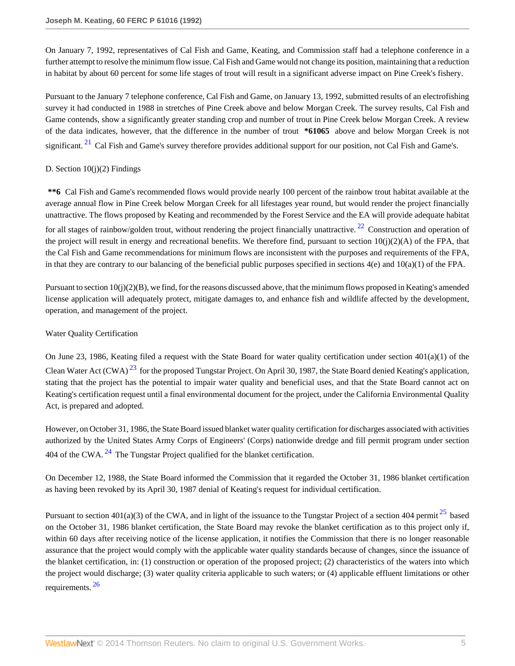On January 7, 1992, representatives of Cal Fish and Game, Keating, and Commission staff had a telephone conference in a further attempt to resolve the minimum flow issue. Cal Fish and Game would not change its position, maintaining that a reduction in habitat by about 60 percent for some life stages of trout will result in a significant adverse impact on Pine Creek's fishery.

Pursuant to the January 7 telephone conference, Cal Fish and Game, on January 13, 1992, submitted results of an electrofishing survey it had conducted in 1988 in stretches of Pine Creek above and below Morgan Creek. The survey results, Cal Fish and Game contends, show a significantly greater standing crop and number of trout in Pine Creek below Morgan Creek. A review of the data indicates, however, that the difference in the number of trout **\*61065** above and below Morgan Creek is not significant.<sup>[21](#page-38-2)</sup> Cal Fish and Game's survey therefore provides additional support for our position, not Cal Fish and Game's.

# <span id="page-4-0"></span>D. Section  $10(i)(2)$  Findings

<span id="page-4-1"></span>**\*\*6** Cal Fish and Game's recommended flows would provide nearly 100 percent of the rainbow trout habitat available at the average annual flow in Pine Creek below Morgan Creek for all lifestages year round, but would render the project financially unattractive. The flows proposed by Keating and recommended by the Forest Service and the EA will provide adequate habitat for all stages of rainbow/golden trout, without rendering the project financially unattractive.  $^{22}$  $^{22}$  $^{22}$  Construction and operation of the project will result in energy and recreational benefits. We therefore find, pursuant to section  $10(j)(2)(A)$  of the FPA, that the Cal Fish and Game recommendations for minimum flows are inconsistent with the purposes and requirements of the FPA, in that they are contrary to our balancing of the beneficial public purposes specified in sections  $4(e)$  and  $10(a)(1)$  of the FPA.

Pursuant to section 10(j)(2)(B), we find, for the reasons discussed above, that the minimum flows proposed in Keating's amended license application will adequately protect, mitigate damages to, and enhance fish and wildlife affected by the development, operation, and management of the project.

# Water Quality Certification

<span id="page-4-2"></span>On June 23, 1986, Keating filed a request with the State Board for water quality certification under section 401(a)(1) of the Clean Water Act  $(CWA)^{23}$  $(CWA)^{23}$  $(CWA)^{23}$  for the proposed Tungstar Project. On April 30, 1987, the State Board denied Keating's application, stating that the project has the potential to impair water quality and beneficial uses, and that the State Board cannot act on Keating's certification request until a final environmental document for the project, under the California Environmental Quality Act, is prepared and adopted.

<span id="page-4-3"></span>However, on October 31, 1986, the State Board issued blanket water quality certification for discharges associated with activities authorized by the United States Army Corps of Engineers' (Corps) nationwide dredge and fill permit program under section 404 of the CWA.  $^{24}$  $^{24}$  $^{24}$  The Tungstar Project qualified for the blanket certification.

On December 12, 1988, the State Board informed the Commission that it regarded the October 31, 1986 blanket certification as having been revoked by its April 30, 1987 denial of Keating's request for individual certification.

<span id="page-4-5"></span><span id="page-4-4"></span>Pursuant to section  $401(a)(3)$  of the CWA, and in light of the issuance to the Tungstar Project of a section 404 permit  $^{25}$  $^{25}$  $^{25}$  based on the October 31, 1986 blanket certification, the State Board may revoke the blanket certification as to this project only if, within 60 days after receiving notice of the license application, it notifies the Commission that there is no longer reasonable assurance that the project would comply with the applicable water quality standards because of changes, since the issuance of the blanket certification, in: (1) construction or operation of the proposed project; (2) characteristics of the waters into which the project would discharge; (3) water quality criteria applicable to such waters; or (4) applicable effluent limitations or other requirements.<sup>[26](#page-38-7)</sup>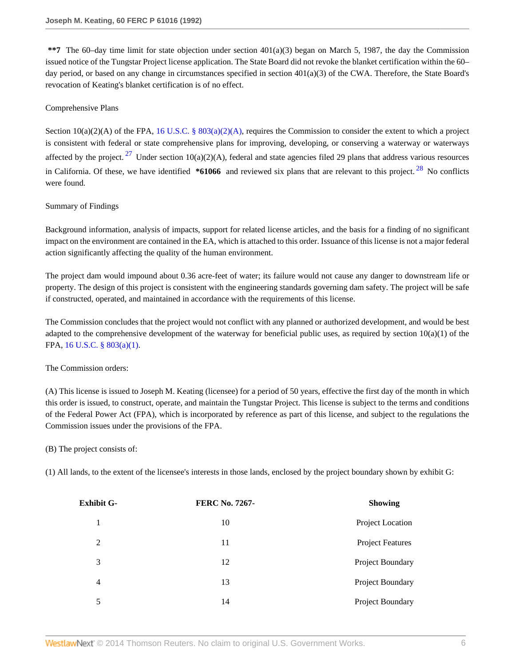**\*\*7** The 60–day time limit for state objection under section 401(a)(3) began on March 5, 1987, the day the Commission issued notice of the Tungstar Project license application. The State Board did not revoke the blanket certification within the 60– day period, or based on any change in circumstances specified in section 401(a)(3) of the CWA. Therefore, the State Board's revocation of Keating's blanket certification is of no effect.

## Comprehensive Plans

<span id="page-5-1"></span><span id="page-5-0"></span>Section  $10(a)(2)(A)$  of the FPA, 16 U.S.C. §  $803(a)(2)(A)$ , requires the Commission to consider the extent to which a project is consistent with federal or state comprehensive plans for improving, developing, or conserving a waterway or waterways affected by the project. <sup>[27](#page-38-8)</sup> Under section 10(a)(2)(A), federal and state agencies filed 29 plans that address various resources in California. Of these, we have identified **\*61066** and reviewed six plans that are relevant to this project. [28](#page-38-9) No conflicts were found.

### Summary of Findings

Background information, analysis of impacts, support for related license articles, and the basis for a finding of no significant impact on the environment are contained in the EA, which is attached to this order. Issuance of this license is not a major federal action significantly affecting the quality of the human environment.

The project dam would impound about 0.36 acre-feet of water; its failure would not cause any danger to downstream life or property. The design of this project is consistent with the engineering standards governing dam safety. The project will be safe if constructed, operated, and maintained in accordance with the requirements of this license.

The Commission concludes that the project would not conflict with any planned or authorized development, and would be best adapted to the comprehensive development of the waterway for beneficial public uses, as required by section  $10(a)(1)$  of the FPA, [16 U.S.C. § 803\(a\)\(1\).](http://www.westlaw.com/Link/Document/FullText?findType=L&pubNum=1000546&cite=16USCAS803&originatingDoc=I8bf25e49392d11db80c2e56cac103088&refType=LQ&originationContext=document&vr=3.0&rs=cblt1.0&transitionType=DocumentItem&contextData=(sc.DocLink))

# The Commission orders:

(A) This license is issued to Joseph M. Keating (licensee) for a period of 50 years, effective the first day of the month in which this order is issued, to construct, operate, and maintain the Tungstar Project. This license is subject to the terms and conditions of the Federal Power Act (FPA), which is incorporated by reference as part of this license, and subject to the regulations the Commission issues under the provisions of the FPA.

(B) The project consists of:

(1) All lands, to the extent of the licensee's interests in those lands, enclosed by the project boundary shown by exhibit G:

| Exhibit G-     | <b>FERC No. 7267-</b> | <b>Showing</b>          |
|----------------|-----------------------|-------------------------|
|                | 10                    | Project Location        |
| 2              | 11                    | <b>Project Features</b> |
| 3              | 12                    | Project Boundary        |
| $\overline{4}$ | 13                    | Project Boundary        |
| 5              | 14                    | Project Boundary        |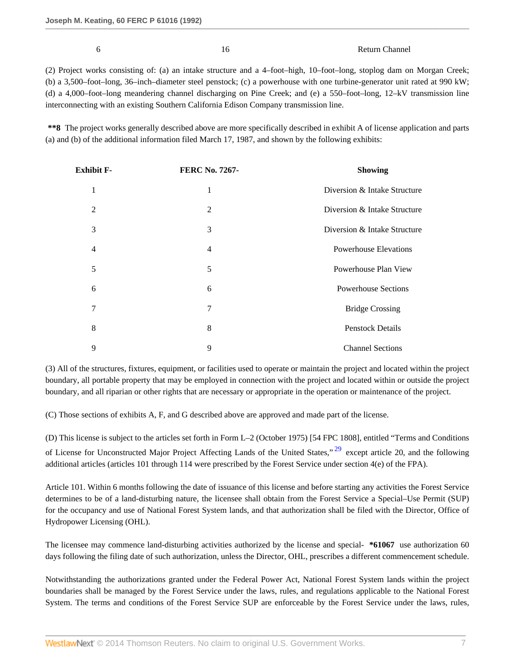6 16 Return Channel

(2) Project works consisting of: (a) an intake structure and a 4–foot–high, 10–foot–long, stoplog dam on Morgan Creek; (b) a 3,500–foot–long, 36–inch–diameter steel penstock; (c) a powerhouse with one turbine-generator unit rated at 990 kW; (d) a 4,000–foot–long meandering channel discharging on Pine Creek; and (e) a 550–foot–long, 12–kV transmission line interconnecting with an existing Southern California Edison Company transmission line.

**\*\*8** The project works generally described above are more specifically described in exhibit A of license application and parts (a) and (b) of the additional information filed March 17, 1987, and shown by the following exhibits:

| Exhibit F- | <b>FERC No. 7267-</b> | <b>Showing</b>               |
|------------|-----------------------|------------------------------|
| 1          | 1                     | Diversion & Intake Structure |
| 2          | $\overline{2}$        | Diversion & Intake Structure |
| 3          | 3                     | Diversion & Intake Structure |
| 4          | $\overline{4}$        | <b>Powerhouse Elevations</b> |
| 5          | 5                     | Powerhouse Plan View         |
| 6          | 6                     | <b>Powerhouse Sections</b>   |
| 7          | 7                     | <b>Bridge Crossing</b>       |
| 8          | 8                     | <b>Penstock Details</b>      |
| 9          | 9                     | <b>Channel Sections</b>      |

(3) All of the structures, fixtures, equipment, or facilities used to operate or maintain the project and located within the project boundary, all portable property that may be employed in connection with the project and located within or outside the project boundary, and all riparian or other rights that are necessary or appropriate in the operation or maintenance of the project.

(C) Those sections of exhibits A, F, and G described above are approved and made part of the license.

<span id="page-6-0"></span>(D) This license is subject to the articles set forth in Form L–2 (October 1975) [54 FPC 1808], entitled "Terms and Conditions of License for Unconstructed Major Project Affecting Lands of the United States," [29](#page-38-10) except article 20, and the following additional articles (articles 101 through 114 were prescribed by the Forest Service under section 4(e) of the FPA).

Article 101. Within 6 months following the date of issuance of this license and before starting any activities the Forest Service determines to be of a land-disturbing nature, the licensee shall obtain from the Forest Service a Special–Use Permit (SUP) for the occupancy and use of National Forest System lands, and that authorization shall be filed with the Director, Office of Hydropower Licensing (OHL).

The licensee may commence land-disturbing activities authorized by the license and special- **\*61067** use authorization 60 days following the filing date of such authorization, unless the Director, OHL, prescribes a different commencement schedule.

Notwithstanding the authorizations granted under the Federal Power Act, National Forest System lands within the project boundaries shall be managed by the Forest Service under the laws, rules, and regulations applicable to the National Forest System. The terms and conditions of the Forest Service SUP are enforceable by the Forest Service under the laws, rules,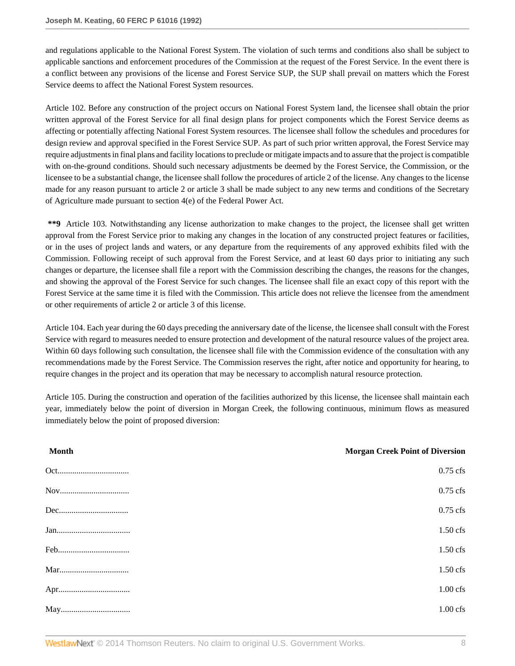and regulations applicable to the National Forest System. The violation of such terms and conditions also shall be subject to applicable sanctions and enforcement procedures of the Commission at the request of the Forest Service. In the event there is a conflict between any provisions of the license and Forest Service SUP, the SUP shall prevail on matters which the Forest Service deems to affect the National Forest System resources.

Article 102. Before any construction of the project occurs on National Forest System land, the licensee shall obtain the prior written approval of the Forest Service for all final design plans for project components which the Forest Service deems as affecting or potentially affecting National Forest System resources. The licensee shall follow the schedules and procedures for design review and approval specified in the Forest Service SUP. As part of such prior written approval, the Forest Service may require adjustments in final plans and facility locations to preclude or mitigate impacts and to assure that the project is compatible with on-the-ground conditions. Should such necessary adjustments be deemed by the Forest Service, the Commission, or the licensee to be a substantial change, the licensee shall follow the procedures of article 2 of the license. Any changes to the license made for any reason pursuant to article 2 or article 3 shall be made subject to any new terms and conditions of the Secretary of Agriculture made pursuant to section 4(e) of the Federal Power Act.

**\*\*9** Article 103. Notwithstanding any license authorization to make changes to the project, the licensee shall get written approval from the Forest Service prior to making any changes in the location of any constructed project features or facilities, or in the uses of project lands and waters, or any departure from the requirements of any approved exhibits filed with the Commission. Following receipt of such approval from the Forest Service, and at least 60 days prior to initiating any such changes or departure, the licensee shall file a report with the Commission describing the changes, the reasons for the changes, and showing the approval of the Forest Service for such changes. The licensee shall file an exact copy of this report with the Forest Service at the same time it is filed with the Commission. This article does not relieve the licensee from the amendment or other requirements of article 2 or article 3 of this license.

Article 104. Each year during the 60 days preceding the anniversary date of the license, the licensee shall consult with the Forest Service with regard to measures needed to ensure protection and development of the natural resource values of the project area. Within 60 days following such consultation, the licensee shall file with the Commission evidence of the consultation with any recommendations made by the Forest Service. The Commission reserves the right, after notice and opportunity for hearing, to require changes in the project and its operation that may be necessary to accomplish natural resource protection.

Article 105. During the construction and operation of the facilities authorized by this license, the licensee shall maintain each year, immediately below the point of diversion in Morgan Creek, the following continuous, minimum flows as measured immediately below the point of proposed diversion:

| <b>Month</b> | <b>Morgan Creek Point of Diversion</b> |
|--------------|----------------------------------------|
|              | $0.75$ cfs                             |
|              | $0.75$ cfs                             |
|              | $0.75$ cfs                             |
|              | $1.50$ cfs                             |
|              | $1.50$ cfs                             |
|              | $1.50$ cfs                             |
|              | $1.00$ cfs                             |
|              | $1.00 \text{ cfs}$                     |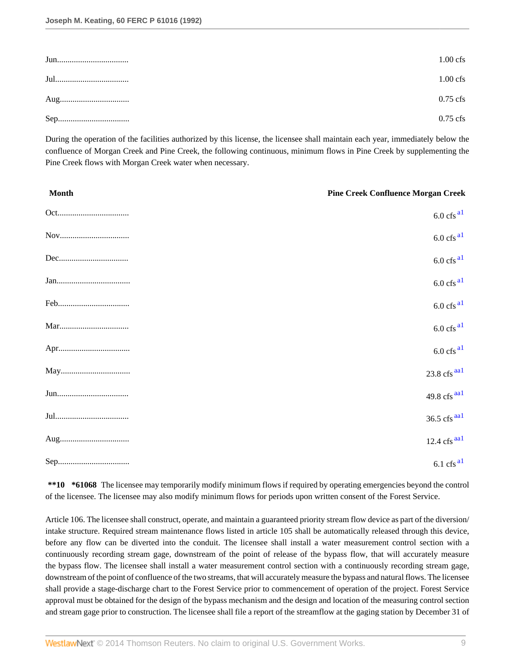| $1.00$ cfs |
|------------|
| $1.00$ cfs |
| $0.75$ cfs |
| $0.75$ cfs |

During the operation of the facilities authorized by this license, the licensee shall maintain each year, immediately below the confluence of Morgan Creek and Pine Creek, the following continuous, minimum flows in Pine Creek by supplementing the Pine Creek flows with Morgan Creek water when necessary.

<span id="page-8-0"></span>

| <b>Month</b> | <b>Pine Creek Confluence Morgan Creek</b>  |
|--------------|--------------------------------------------|
|              | $6.0 \text{ cfs}^{\text{al}}$              |
|              | $6.0 \text{ cfs}^{\text{al}}$              |
|              | $6.0 \text{ cfs}^{\text{al}}$              |
|              | $6.0 \text{ cfs}^{\text{al}}$              |
|              | $6.0 \text{ cfs}^{\text{al}}$              |
|              | $6.0 \text{ cfs}^{\text{al}}$              |
|              | $6.0 \text{ cfs}^{\text{al}}$              |
|              | $23.8$ cfs $\frac{aa1}{a}$                 |
|              | 49.8 cfs $^{aa1}$                          |
|              | $36.5$ cfs $\frac{\text{aal}}{\text{gal}}$ |
|              | $12.4 \text{ cfs}$ <sup>aa1</sup>          |
|              | $6.1 \text{ cfs}^{\text{al}}$              |

<span id="page-8-1"></span>**\*\*10 \*61068** The licensee may temporarily modify minimum flows if required by operating emergencies beyond the control of the licensee. The licensee may also modify minimum flows for periods upon written consent of the Forest Service.

Article 106. The licensee shall construct, operate, and maintain a guaranteed priority stream flow device as part of the diversion/ intake structure. Required stream maintenance flows listed in article 105 shall be automatically released through this device, before any flow can be diverted into the conduit. The licensee shall install a water measurement control section with a continuously recording stream gage, downstream of the point of release of the bypass flow, that will accurately measure the bypass flow. The licensee shall install a water measurement control section with a continuously recording stream gage, downstream of the point of confluence of the two streams, that will accurately measure the bypass and natural flows. The licensee shall provide a stage-discharge chart to the Forest Service prior to commencement of operation of the project. Forest Service approval must be obtained for the design of the bypass mechanism and the design and location of the measuring control section and stream gage prior to construction. The licensee shall file a report of the streamflow at the gaging station by December 31 of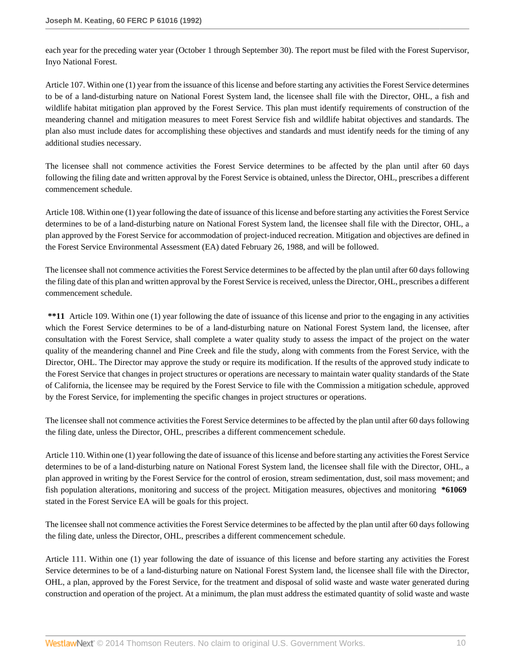each year for the preceding water year (October 1 through September 30). The report must be filed with the Forest Supervisor, Inyo National Forest.

Article 107. Within one (1) year from the issuance of this license and before starting any activities the Forest Service determines to be of a land-disturbing nature on National Forest System land, the licensee shall file with the Director, OHL, a fish and wildlife habitat mitigation plan approved by the Forest Service. This plan must identify requirements of construction of the meandering channel and mitigation measures to meet Forest Service fish and wildlife habitat objectives and standards. The plan also must include dates for accomplishing these objectives and standards and must identify needs for the timing of any additional studies necessary.

The licensee shall not commence activities the Forest Service determines to be affected by the plan until after 60 days following the filing date and written approval by the Forest Service is obtained, unless the Director, OHL, prescribes a different commencement schedule.

Article 108. Within one (1) year following the date of issuance of this license and before starting any activities the Forest Service determines to be of a land-disturbing nature on National Forest System land, the licensee shall file with the Director, OHL, a plan approved by the Forest Service for accommodation of project-induced recreation. Mitigation and objectives are defined in the Forest Service Environmental Assessment (EA) dated February 26, 1988, and will be followed.

The licensee shall not commence activities the Forest Service determines to be affected by the plan until after 60 days following the filing date of this plan and written approval by the Forest Service is received, unless the Director, OHL, prescribes a different commencement schedule.

**\*\*11** Article 109. Within one (1) year following the date of issuance of this license and prior to the engaging in any activities which the Forest Service determines to be of a land-disturbing nature on National Forest System land, the licensee, after consultation with the Forest Service, shall complete a water quality study to assess the impact of the project on the water quality of the meandering channel and Pine Creek and file the study, along with comments from the Forest Service, with the Director, OHL. The Director may approve the study or require its modification. If the results of the approved study indicate to the Forest Service that changes in project structures or operations are necessary to maintain water quality standards of the State of California, the licensee may be required by the Forest Service to file with the Commission a mitigation schedule, approved by the Forest Service, for implementing the specific changes in project structures or operations.

The licensee shall not commence activities the Forest Service determines to be affected by the plan until after 60 days following the filing date, unless the Director, OHL, prescribes a different commencement schedule.

Article 110. Within one (1) year following the date of issuance of this license and before starting any activities the Forest Service determines to be of a land-disturbing nature on National Forest System land, the licensee shall file with the Director, OHL, a plan approved in writing by the Forest Service for the control of erosion, stream sedimentation, dust, soil mass movement; and fish population alterations, monitoring and success of the project. Mitigation measures, objectives and monitoring **\*61069** stated in the Forest Service EA will be goals for this project.

The licensee shall not commence activities the Forest Service determines to be affected by the plan until after 60 days following the filing date, unless the Director, OHL, prescribes a different commencement schedule.

Article 111. Within one (1) year following the date of issuance of this license and before starting any activities the Forest Service determines to be of a land-disturbing nature on National Forest System land, the licensee shall file with the Director, OHL, a plan, approved by the Forest Service, for the treatment and disposal of solid waste and waste water generated during construction and operation of the project. At a minimum, the plan must address the estimated quantity of solid waste and waste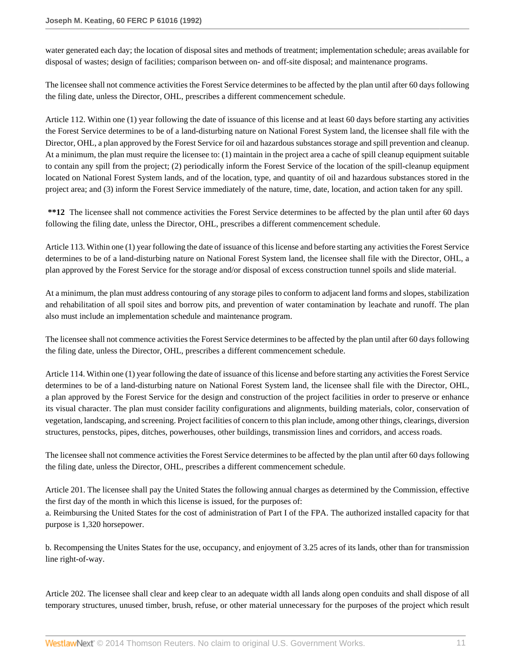water generated each day; the location of disposal sites and methods of treatment; implementation schedule; areas available for disposal of wastes; design of facilities; comparison between on- and off-site disposal; and maintenance programs.

The licensee shall not commence activities the Forest Service determines to be affected by the plan until after 60 days following the filing date, unless the Director, OHL, prescribes a different commencement schedule.

Article 112. Within one (1) year following the date of issuance of this license and at least 60 days before starting any activities the Forest Service determines to be of a land-disturbing nature on National Forest System land, the licensee shall file with the Director, OHL, a plan approved by the Forest Service for oil and hazardous substances storage and spill prevention and cleanup. At a minimum, the plan must require the licensee to: (1) maintain in the project area a cache of spill cleanup equipment suitable to contain any spill from the project; (2) periodically inform the Forest Service of the location of the spill-cleanup equipment located on National Forest System lands, and of the location, type, and quantity of oil and hazardous substances stored in the project area; and (3) inform the Forest Service immediately of the nature, time, date, location, and action taken for any spill.

**\*\*12** The licensee shall not commence activities the Forest Service determines to be affected by the plan until after 60 days following the filing date, unless the Director, OHL, prescribes a different commencement schedule.

Article 113. Within one (1) year following the date of issuance of this license and before starting any activities the Forest Service determines to be of a land-disturbing nature on National Forest System land, the licensee shall file with the Director, OHL, a plan approved by the Forest Service for the storage and/or disposal of excess construction tunnel spoils and slide material.

At a minimum, the plan must address contouring of any storage piles to conform to adjacent land forms and slopes, stabilization and rehabilitation of all spoil sites and borrow pits, and prevention of water contamination by leachate and runoff. The plan also must include an implementation schedule and maintenance program.

The licensee shall not commence activities the Forest Service determines to be affected by the plan until after 60 days following the filing date, unless the Director, OHL, prescribes a different commencement schedule.

Article 114. Within one (1) year following the date of issuance of this license and before starting any activities the Forest Service determines to be of a land-disturbing nature on National Forest System land, the licensee shall file with the Director, OHL, a plan approved by the Forest Service for the design and construction of the project facilities in order to preserve or enhance its visual character. The plan must consider facility configurations and alignments, building materials, color, conservation of vegetation, landscaping, and screening. Project facilities of concern to this plan include, among other things, clearings, diversion structures, penstocks, pipes, ditches, powerhouses, other buildings, transmission lines and corridors, and access roads.

The licensee shall not commence activities the Forest Service determines to be affected by the plan until after 60 days following the filing date, unless the Director, OHL, prescribes a different commencement schedule.

Article 201. The licensee shall pay the United States the following annual charges as determined by the Commission, effective the first day of the month in which this license is issued, for the purposes of:

a. Reimbursing the United States for the cost of administration of Part I of the FPA. The authorized installed capacity for that purpose is 1,320 horsepower.

b. Recompensing the Unites States for the use, occupancy, and enjoyment of 3.25 acres of its lands, other than for transmission line right-of-way.

Article 202. The licensee shall clear and keep clear to an adequate width all lands along open conduits and shall dispose of all temporary structures, unused timber, brush, refuse, or other material unnecessary for the purposes of the project which result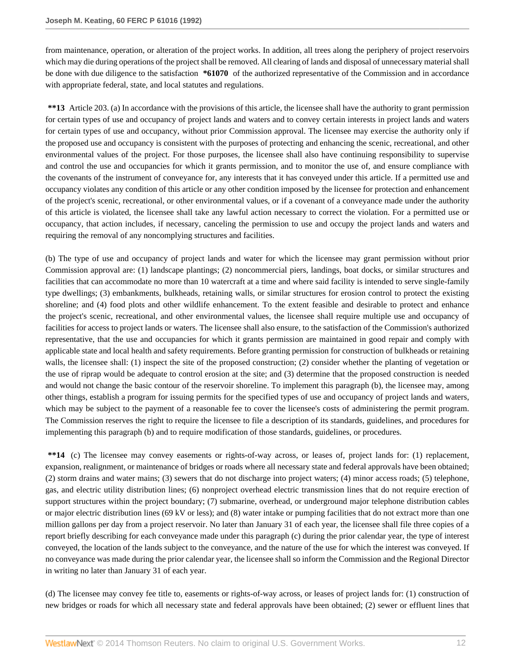from maintenance, operation, or alteration of the project works. In addition, all trees along the periphery of project reservoirs which may die during operations of the project shall be removed. All clearing of lands and disposal of unnecessary material shall be done with due diligence to the satisfaction **\*61070** of the authorized representative of the Commission and in accordance with appropriate federal, state, and local statutes and regulations.

**\*\*13** Article 203. (a) In accordance with the provisions of this article, the licensee shall have the authority to grant permission for certain types of use and occupancy of project lands and waters and to convey certain interests in project lands and waters for certain types of use and occupancy, without prior Commission approval. The licensee may exercise the authority only if the proposed use and occupancy is consistent with the purposes of protecting and enhancing the scenic, recreational, and other environmental values of the project. For those purposes, the licensee shall also have continuing responsibility to supervise and control the use and occupancies for which it grants permission, and to monitor the use of, and ensure compliance with the covenants of the instrument of conveyance for, any interests that it has conveyed under this article. If a permitted use and occupancy violates any condition of this article or any other condition imposed by the licensee for protection and enhancement of the project's scenic, recreational, or other environmental values, or if a covenant of a conveyance made under the authority of this article is violated, the licensee shall take any lawful action necessary to correct the violation. For a permitted use or occupancy, that action includes, if necessary, canceling the permission to use and occupy the project lands and waters and requiring the removal of any noncomplying structures and facilities.

(b) The type of use and occupancy of project lands and water for which the licensee may grant permission without prior Commission approval are: (1) landscape plantings; (2) noncommercial piers, landings, boat docks, or similar structures and facilities that can accommodate no more than 10 watercraft at a time and where said facility is intended to serve single-family type dwellings; (3) embankments, bulkheads, retaining walls, or similar structures for erosion control to protect the existing shoreline; and (4) food plots and other wildlife enhancement. To the extent feasible and desirable to protect and enhance the project's scenic, recreational, and other environmental values, the licensee shall require multiple use and occupancy of facilities for access to project lands or waters. The licensee shall also ensure, to the satisfaction of the Commission's authorized representative, that the use and occupancies for which it grants permission are maintained in good repair and comply with applicable state and local health and safety requirements. Before granting permission for construction of bulkheads or retaining walls, the licensee shall: (1) inspect the site of the proposed construction; (2) consider whether the planting of vegetation or the use of riprap would be adequate to control erosion at the site; and (3) determine that the proposed construction is needed and would not change the basic contour of the reservoir shoreline. To implement this paragraph (b), the licensee may, among other things, establish a program for issuing permits for the specified types of use and occupancy of project lands and waters, which may be subject to the payment of a reasonable fee to cover the licensee's costs of administering the permit program. The Commission reserves the right to require the licensee to file a description of its standards, guidelines, and procedures for implementing this paragraph (b) and to require modification of those standards, guidelines, or procedures.

**\*\*14** (c) The licensee may convey easements or rights-of-way across, or leases of, project lands for: (1) replacement, expansion, realignment, or maintenance of bridges or roads where all necessary state and federal approvals have been obtained; (2) storm drains and water mains; (3) sewers that do not discharge into project waters; (4) minor access roads; (5) telephone, gas, and electric utility distribution lines; (6) nonproject overhead electric transmission lines that do not require erection of support structures within the project boundary; (7) submarine, overhead, or underground major telephone distribution cables or major electric distribution lines (69 kV or less); and (8) water intake or pumping facilities that do not extract more than one million gallons per day from a project reservoir. No later than January 31 of each year, the licensee shall file three copies of a report briefly describing for each conveyance made under this paragraph (c) during the prior calendar year, the type of interest conveyed, the location of the lands subject to the conveyance, and the nature of the use for which the interest was conveyed. If no conveyance was made during the prior calendar year, the licensee shall so inform the Commission and the Regional Director in writing no later than January 31 of each year.

(d) The licensee may convey fee title to, easements or rights-of-way across, or leases of project lands for: (1) construction of new bridges or roads for which all necessary state and federal approvals have been obtained; (2) sewer or effluent lines that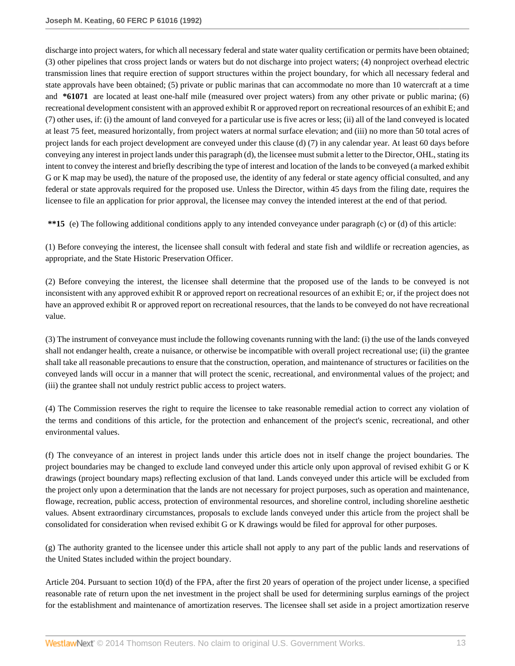discharge into project waters, for which all necessary federal and state water quality certification or permits have been obtained; (3) other pipelines that cross project lands or waters but do not discharge into project waters; (4) nonproject overhead electric transmission lines that require erection of support structures within the project boundary, for which all necessary federal and state approvals have been obtained; (5) private or public marinas that can accommodate no more than 10 watercraft at a time and **\*61071** are located at least one-half mile (measured over project waters) from any other private or public marina; (6) recreational development consistent with an approved exhibit R or approved report on recreational resources of an exhibit E; and (7) other uses, if: (i) the amount of land conveyed for a particular use is five acres or less; (ii) all of the land conveyed is located at least 75 feet, measured horizontally, from project waters at normal surface elevation; and (iii) no more than 50 total acres of project lands for each project development are conveyed under this clause (d) (7) in any calendar year. At least 60 days before conveying any interest in project lands under this paragraph (d), the licensee must submit a letter to the Director, OHL, stating its intent to convey the interest and briefly describing the type of interest and location of the lands to be conveyed (a marked exhibit G or K map may be used), the nature of the proposed use, the identity of any federal or state agency official consulted, and any federal or state approvals required for the proposed use. Unless the Director, within 45 days from the filing date, requires the licensee to file an application for prior approval, the licensee may convey the intended interest at the end of that period.

**\*\*15** (e) The following additional conditions apply to any intended conveyance under paragraph (c) or (d) of this article:

(1) Before conveying the interest, the licensee shall consult with federal and state fish and wildlife or recreation agencies, as appropriate, and the State Historic Preservation Officer.

(2) Before conveying the interest, the licensee shall determine that the proposed use of the lands to be conveyed is not inconsistent with any approved exhibit R or approved report on recreational resources of an exhibit E; or, if the project does not have an approved exhibit R or approved report on recreational resources, that the lands to be conveyed do not have recreational value.

(3) The instrument of conveyance must include the following covenants running with the land: (i) the use of the lands conveyed shall not endanger health, create a nuisance, or otherwise be incompatible with overall project recreational use; (ii) the grantee shall take all reasonable precautions to ensure that the construction, operation, and maintenance of structures or facilities on the conveyed lands will occur in a manner that will protect the scenic, recreational, and environmental values of the project; and (iii) the grantee shall not unduly restrict public access to project waters.

(4) The Commission reserves the right to require the licensee to take reasonable remedial action to correct any violation of the terms and conditions of this article, for the protection and enhancement of the project's scenic, recreational, and other environmental values.

(f) The conveyance of an interest in project lands under this article does not in itself change the project boundaries. The project boundaries may be changed to exclude land conveyed under this article only upon approval of revised exhibit G or K drawings (project boundary maps) reflecting exclusion of that land. Lands conveyed under this article will be excluded from the project only upon a determination that the lands are not necessary for project purposes, such as operation and maintenance, flowage, recreation, public access, protection of environmental resources, and shoreline control, including shoreline aesthetic values. Absent extraordinary circumstances, proposals to exclude lands conveyed under this article from the project shall be consolidated for consideration when revised exhibit G or K drawings would be filed for approval for other purposes.

(g) The authority granted to the licensee under this article shall not apply to any part of the public lands and reservations of the United States included within the project boundary.

Article 204. Pursuant to section 10(d) of the FPA, after the first 20 years of operation of the project under license, a specified reasonable rate of return upon the net investment in the project shall be used for determining surplus earnings of the project for the establishment and maintenance of amortization reserves. The licensee shall set aside in a project amortization reserve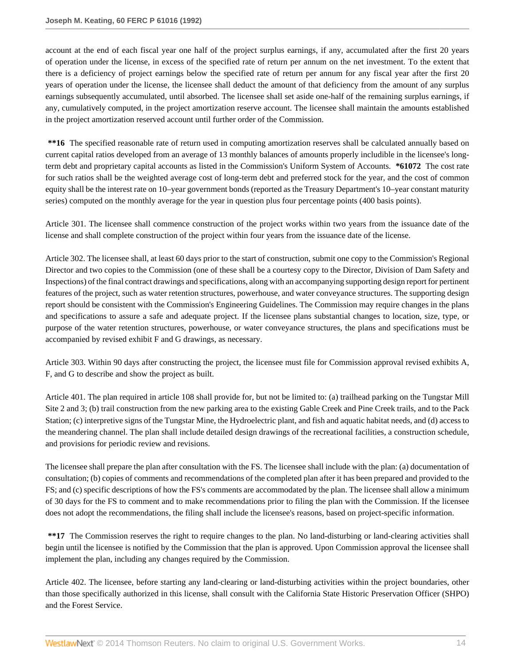account at the end of each fiscal year one half of the project surplus earnings, if any, accumulated after the first 20 years of operation under the license, in excess of the specified rate of return per annum on the net investment. To the extent that there is a deficiency of project earnings below the specified rate of return per annum for any fiscal year after the first 20 years of operation under the license, the licensee shall deduct the amount of that deficiency from the amount of any surplus earnings subsequently accumulated, until absorbed. The licensee shall set aside one-half of the remaining surplus earnings, if any, cumulatively computed, in the project amortization reserve account. The licensee shall maintain the amounts established in the project amortization reserved account until further order of the Commission.

\*\*16 The specified reasonable rate of return used in computing amortization reserves shall be calculated annually based on current capital ratios developed from an average of 13 monthly balances of amounts properly includible in the licensee's longterm debt and proprietary capital accounts as listed in the Commission's Uniform System of Accounts. **\*61072** The cost rate for such ratios shall be the weighted average cost of long-term debt and preferred stock for the year, and the cost of common equity shall be the interest rate on 10–year government bonds (reported as the Treasury Department's 10–year constant maturity series) computed on the monthly average for the year in question plus four percentage points (400 basis points).

Article 301. The licensee shall commence construction of the project works within two years from the issuance date of the license and shall complete construction of the project within four years from the issuance date of the license.

Article 302. The licensee shall, at least 60 days prior to the start of construction, submit one copy to the Commission's Regional Director and two copies to the Commission (one of these shall be a courtesy copy to the Director, Division of Dam Safety and Inspections) of the final contract drawings and specifications, along with an accompanying supporting design report for pertinent features of the project, such as water retention structures, powerhouse, and water conveyance structures. The supporting design report should be consistent with the Commission's Engineering Guidelines. The Commission may require changes in the plans and specifications to assure a safe and adequate project. If the licensee plans substantial changes to location, size, type, or purpose of the water retention structures, powerhouse, or water conveyance structures, the plans and specifications must be accompanied by revised exhibit F and G drawings, as necessary.

Article 303. Within 90 days after constructing the project, the licensee must file for Commission approval revised exhibits A, F, and G to describe and show the project as built.

Article 401. The plan required in article 108 shall provide for, but not be limited to: (a) trailhead parking on the Tungstar Mill Site 2 and 3; (b) trail construction from the new parking area to the existing Gable Creek and Pine Creek trails, and to the Pack Station; (c) interpretive signs of the Tungstar Mine, the Hydroelectric plant, and fish and aquatic habitat needs, and (d) access to the meandering channel. The plan shall include detailed design drawings of the recreational facilities, a construction schedule, and provisions for periodic review and revisions.

The licensee shall prepare the plan after consultation with the FS. The licensee shall include with the plan: (a) documentation of consultation; (b) copies of comments and recommendations of the completed plan after it has been prepared and provided to the FS; and (c) specific descriptions of how the FS's comments are accommodated by the plan. The licensee shall allow a minimum of 30 days for the FS to comment and to make recommendations prior to filing the plan with the Commission. If the licensee does not adopt the recommendations, the filing shall include the licensee's reasons, based on project-specific information.

**\*\*17** The Commission reserves the right to require changes to the plan. No land-disturbing or land-clearing activities shall begin until the licensee is notified by the Commission that the plan is approved. Upon Commission approval the licensee shall implement the plan, including any changes required by the Commission.

Article 402. The licensee, before starting any land-clearing or land-disturbing activities within the project boundaries, other than those specifically authorized in this license, shall consult with the California State Historic Preservation Officer (SHPO) and the Forest Service.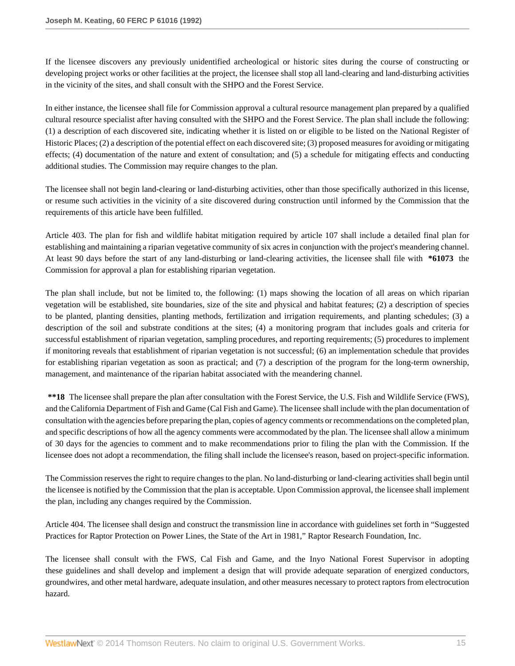If the licensee discovers any previously unidentified archeological or historic sites during the course of constructing or developing project works or other facilities at the project, the licensee shall stop all land-clearing and land-disturbing activities in the vicinity of the sites, and shall consult with the SHPO and the Forest Service.

In either instance, the licensee shall file for Commission approval a cultural resource management plan prepared by a qualified cultural resource specialist after having consulted with the SHPO and the Forest Service. The plan shall include the following: (1) a description of each discovered site, indicating whether it is listed on or eligible to be listed on the National Register of Historic Places; (2) a description of the potential effect on each discovered site; (3) proposed measures for avoiding or mitigating effects; (4) documentation of the nature and extent of consultation; and (5) a schedule for mitigating effects and conducting additional studies. The Commission may require changes to the plan.

The licensee shall not begin land-clearing or land-disturbing activities, other than those specifically authorized in this license, or resume such activities in the vicinity of a site discovered during construction until informed by the Commission that the requirements of this article have been fulfilled.

Article 403. The plan for fish and wildlife habitat mitigation required by article 107 shall include a detailed final plan for establishing and maintaining a riparian vegetative community of six acres in conjunction with the project's meandering channel. At least 90 days before the start of any land-disturbing or land-clearing activities, the licensee shall file with **\*61073** the Commission for approval a plan for establishing riparian vegetation.

The plan shall include, but not be limited to, the following: (1) maps showing the location of all areas on which riparian vegetation will be established, site boundaries, size of the site and physical and habitat features; (2) a description of species to be planted, planting densities, planting methods, fertilization and irrigation requirements, and planting schedules; (3) a description of the soil and substrate conditions at the sites; (4) a monitoring program that includes goals and criteria for successful establishment of riparian vegetation, sampling procedures, and reporting requirements; (5) procedures to implement if monitoring reveals that establishment of riparian vegetation is not successful; (6) an implementation schedule that provides for establishing riparian vegetation as soon as practical; and (7) a description of the program for the long-term ownership, management, and maintenance of the riparian habitat associated with the meandering channel.

**\*\*18** The licensee shall prepare the plan after consultation with the Forest Service, the U.S. Fish and Wildlife Service (FWS), and the California Department of Fish and Game (Cal Fish and Game). The licensee shall include with the plan documentation of consultation with the agencies before preparing the plan, copies of agency comments or recommendations on the completed plan, and specific descriptions of how all the agency comments were accommodated by the plan. The licensee shall allow a minimum of 30 days for the agencies to comment and to make recommendations prior to filing the plan with the Commission. If the licensee does not adopt a recommendation, the filing shall include the licensee's reason, based on project-specific information.

The Commission reserves the right to require changes to the plan. No land-disturbing or land-clearing activities shall begin until the licensee is notified by the Commission that the plan is acceptable. Upon Commission approval, the licensee shall implement the plan, including any changes required by the Commission.

Article 404. The licensee shall design and construct the transmission line in accordance with guidelines set forth in "Suggested Practices for Raptor Protection on Power Lines, the State of the Art in 1981," Raptor Research Foundation, Inc.

The licensee shall consult with the FWS, Cal Fish and Game, and the Inyo National Forest Supervisor in adopting these guidelines and shall develop and implement a design that will provide adequate separation of energized conductors, groundwires, and other metal hardware, adequate insulation, and other measures necessary to protect raptors from electrocution hazard.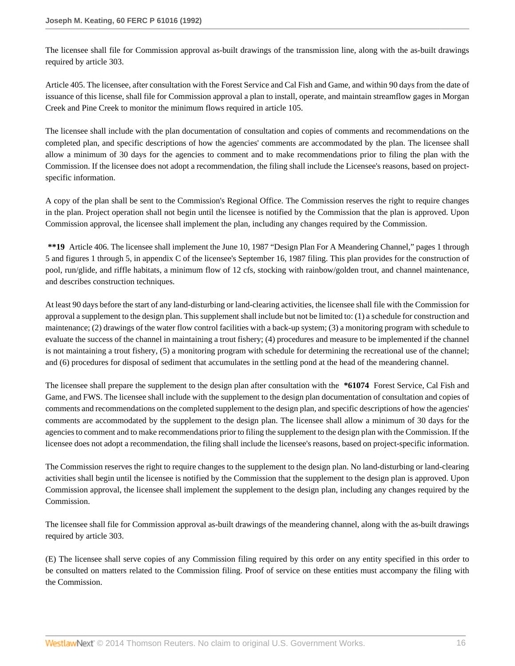The licensee shall file for Commission approval as-built drawings of the transmission line, along with the as-built drawings required by article 303.

Article 405. The licensee, after consultation with the Forest Service and Cal Fish and Game, and within 90 days from the date of issuance of this license, shall file for Commission approval a plan to install, operate, and maintain streamflow gages in Morgan Creek and Pine Creek to monitor the minimum flows required in article 105.

The licensee shall include with the plan documentation of consultation and copies of comments and recommendations on the completed plan, and specific descriptions of how the agencies' comments are accommodated by the plan. The licensee shall allow a minimum of 30 days for the agencies to comment and to make recommendations prior to filing the plan with the Commission. If the licensee does not adopt a recommendation, the filing shall include the Licensee's reasons, based on projectspecific information.

A copy of the plan shall be sent to the Commission's Regional Office. The Commission reserves the right to require changes in the plan. Project operation shall not begin until the licensee is notified by the Commission that the plan is approved. Upon Commission approval, the licensee shall implement the plan, including any changes required by the Commission.

**\*\*19** Article 406. The licensee shall implement the June 10, 1987 "Design Plan For A Meandering Channel," pages 1 through 5 and figures 1 through 5, in appendix C of the licensee's September 16, 1987 filing. This plan provides for the construction of pool, run/glide, and riffle habitats, a minimum flow of 12 cfs, stocking with rainbow/golden trout, and channel maintenance, and describes construction techniques.

At least 90 days before the start of any land-disturbing or land-clearing activities, the licensee shall file with the Commission for approval a supplement to the design plan. This supplement shall include but not be limited to: (1) a schedule for construction and maintenance; (2) drawings of the water flow control facilities with a back-up system; (3) a monitoring program with schedule to evaluate the success of the channel in maintaining a trout fishery; (4) procedures and measure to be implemented if the channel is not maintaining a trout fishery, (5) a monitoring program with schedule for determining the recreational use of the channel; and (6) procedures for disposal of sediment that accumulates in the settling pond at the head of the meandering channel.

The licensee shall prepare the supplement to the design plan after consultation with the **\*61074** Forest Service, Cal Fish and Game, and FWS. The licensee shall include with the supplement to the design plan documentation of consultation and copies of comments and recommendations on the completed supplement to the design plan, and specific descriptions of how the agencies' comments are accommodated by the supplement to the design plan. The licensee shall allow a minimum of 30 days for the agencies to comment and to make recommendations prior to filing the supplement to the design plan with the Commission. If the licensee does not adopt a recommendation, the filing shall include the licensee's reasons, based on project-specific information.

The Commission reserves the right to require changes to the supplement to the design plan. No land-disturbing or land-clearing activities shall begin until the licensee is notified by the Commission that the supplement to the design plan is approved. Upon Commission approval, the licensee shall implement the supplement to the design plan, including any changes required by the Commission.

The licensee shall file for Commission approval as-built drawings of the meandering channel, along with the as-built drawings required by article 303.

(E) The licensee shall serve copies of any Commission filing required by this order on any entity specified in this order to be consulted on matters related to the Commission filing. Proof of service on these entities must accompany the filing with the Commission.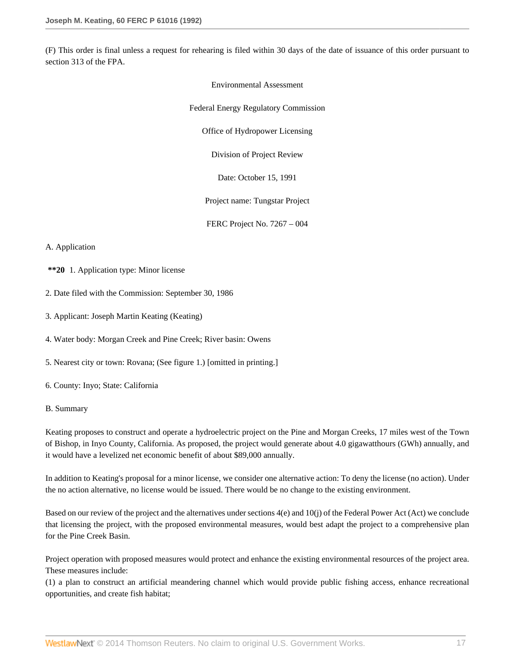(F) This order is final unless a request for rehearing is filed within 30 days of the date of issuance of this order pursuant to section 313 of the FPA.

> Environmental Assessment Federal Energy Regulatory Commission Office of Hydropower Licensing Division of Project Review Date: October 15, 1991 Project name: Tungstar Project FERC Project No. 7267 – 004

### A. Application

- **\*\*20** 1. Application type: Minor license
- 2. Date filed with the Commission: September 30, 1986
- 3. Applicant: Joseph Martin Keating (Keating)

4. Water body: Morgan Creek and Pine Creek; River basin: Owens

5. Nearest city or town: Rovana; (See figure 1.) [omitted in printing.]

6. County: Inyo; State: California

#### B. Summary

Keating proposes to construct and operate a hydroelectric project on the Pine and Morgan Creeks, 17 miles west of the Town of Bishop, in Inyo County, California. As proposed, the project would generate about 4.0 gigawatthours (GWh) annually, and it would have a levelized net economic benefit of about \$89,000 annually.

In addition to Keating's proposal for a minor license, we consider one alternative action: To deny the license (no action). Under the no action alternative, no license would be issued. There would be no change to the existing environment.

Based on our review of the project and the alternatives under sections 4(e) and 10(j) of the Federal Power Act (Act) we conclude that licensing the project, with the proposed environmental measures, would best adapt the project to a comprehensive plan for the Pine Creek Basin.

Project operation with proposed measures would protect and enhance the existing environmental resources of the project area. These measures include:

(1) a plan to construct an artificial meandering channel which would provide public fishing access, enhance recreational opportunities, and create fish habitat;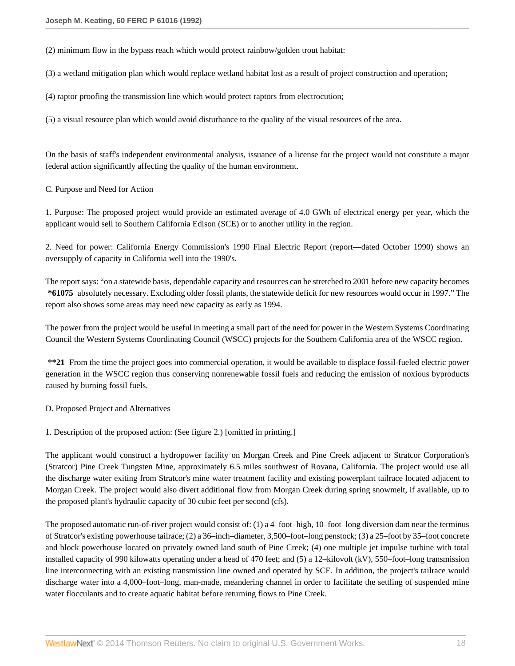(2) minimum flow in the bypass reach which would protect rainbow/golden trout habitat:

(3) a wetland mitigation plan which would replace wetland habitat lost as a result of project construction and operation;

(4) raptor proofing the transmission line which would protect raptors from electrocution;

(5) a visual resource plan which would avoid disturbance to the quality of the visual resources of the area.

On the basis of staff's independent environmental analysis, issuance of a license for the project would not constitute a major federal action significantly affecting the quality of the human environment.

C. Purpose and Need for Action

1. Purpose: The proposed project would provide an estimated average of 4.0 GWh of electrical energy per year, which the applicant would sell to Southern California Edison (SCE) or to another utility in the region.

2. Need for power: California Energy Commission's 1990 Final Electric Report (report—dated October 1990) shows an oversupply of capacity in California well into the 1990's.

The report says: "on a statewide basis, dependable capacity and resources can be stretched to 2001 before new capacity becomes **\*61075** absolutely necessary. Excluding older fossil plants, the statewide deficit for new resources would occur in 1997." The report also shows some areas may need new capacity as early as 1994.

The power from the project would be useful in meeting a small part of the need for power in the Western Systems Coordinating Council the Western Systems Coordinating Council (WSCC) projects for the Southern California area of the WSCC region.

**\*\*21** From the time the project goes into commercial operation, it would be available to displace fossil-fueled electric power generation in the WSCC region thus conserving nonrenewable fossil fuels and reducing the emission of noxious byproducts caused by burning fossil fuels.

D. Proposed Project and Alternatives

1. Description of the proposed action: (See figure 2.) [omitted in printing.]

The applicant would construct a hydropower facility on Morgan Creek and Pine Creek adjacent to Stratcor Corporation's (Stratcor) Pine Creek Tungsten Mine, approximately 6.5 miles southwest of Rovana, California. The project would use all the discharge water exiting from Stratcor's mine water treatment facility and existing powerplant tailrace located adjacent to Morgan Creek. The project would also divert additional flow from Morgan Creek during spring snowmelt, if available, up to the proposed plant's hydraulic capacity of 30 cubic feet per second (cfs).

The proposed automatic run-of-river project would consist of: (1) a 4–foot–high, 10–foot–long diversion dam near the terminus of Stratcor's existing powerhouse tailrace; (2) a 36–inch–diameter, 3,500–foot–long penstock; (3) a 25–foot by 35–foot concrete and block powerhouse located on privately owned land south of Pine Creek; (4) one multiple jet impulse turbine with total installed capacity of 990 kilowatts operating under a head of 470 feet; and (5) a 12–kilovolt (kV), 550–foot–long transmission line interconnecting with an existing transmission line owned and operated by SCE. In addition, the project's tailrace would discharge water into a 4,000–foot–long, man-made, meandering channel in order to facilitate the settling of suspended mine water flocculants and to create aquatic habitat before returning flows to Pine Creek.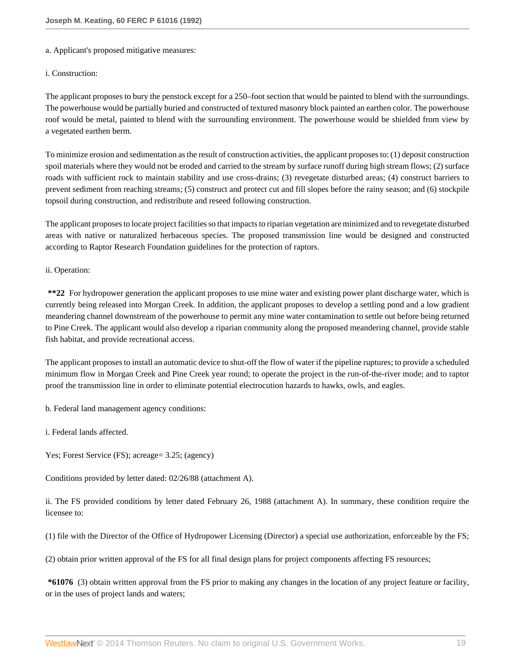#### a. Applicant's proposed mitigative measures:

#### i. Construction:

The applicant proposes to bury the penstock except for a 250–foot section that would be painted to blend with the surroundings. The powerhouse would be partially buried and constructed of textured masonry block painted an earthen color. The powerhouse roof would be metal, painted to blend with the surrounding environment. The powerhouse would be shielded from view by a vegetated earthen berm.

To minimize erosion and sedimentation as the result of construction activities, the applicant proposes to: (1) deposit construction spoil materials where they would not be eroded and carried to the stream by surface runoff during high stream flows; (2) surface roads with sufficient rock to maintain stability and use cross-drains; (3) revegetate disturbed areas; (4) construct barriers to prevent sediment from reaching streams; (5) construct and protect cut and fill slopes before the rainy season; and (6) stockpile topsoil during construction, and redistribute and reseed following construction.

The applicant proposes to locate project facilities so that impacts to riparian vegetation are minimized and to revegetate disturbed areas with native or naturalized herbaceous species. The proposed transmission line would be designed and constructed according to Raptor Research Foundation guidelines for the protection of raptors.

### ii. Operation:

**\*\*22** For hydropower generation the applicant proposes to use mine water and existing power plant discharge water, which is currently being released into Morgan Creek. In addition, the applicant proposes to develop a settling pond and a low gradient meandering channel downstream of the powerhouse to permit any mine water contamination to settle out before being returned to Pine Creek. The applicant would also develop a riparian community along the proposed meandering channel, provide stable fish habitat, and provide recreational access.

The applicant proposes to install an automatic device to shut-off the flow of water if the pipeline ruptures; to provide a scheduled minimum flow in Morgan Creek and Pine Creek year round; to operate the project in the run-of-the-river mode; and to raptor proof the transmission line in order to eliminate potential electrocution hazards to hawks, owls, and eagles.

b. Federal land management agency conditions:

i. Federal lands affected.

Yes; Forest Service (FS); acreage= 3.25; (agency)

Conditions provided by letter dated: 02/26/88 (attachment A).

ii. The FS provided conditions by letter dated February 26, 1988 (attachment A). In summary, these condition require the licensee to:

(1) file with the Director of the Office of Hydropower Licensing (Director) a special use authorization, enforceable by the FS;

(2) obtain prior written approval of the FS for all final design plans for project components affecting FS resources;

**\*61076** (3) obtain written approval from the FS prior to making any changes in the location of any project feature or facility, or in the uses of project lands and waters;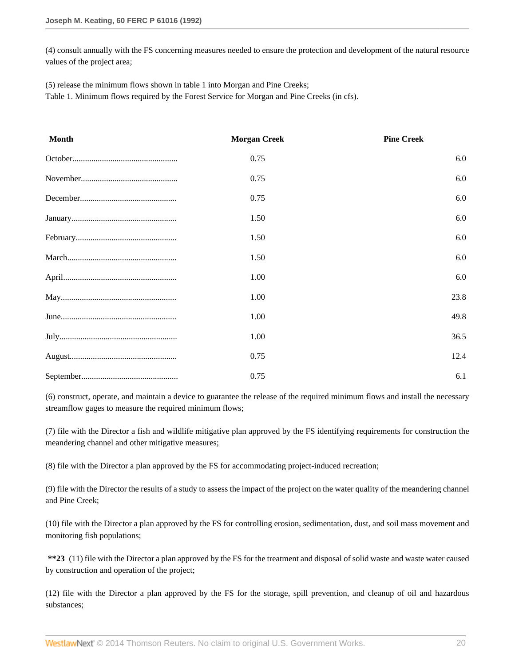(4) consult annually with the FS concerning measures needed to ensure the protection and development of the natural resource values of the project area;

(5) release the minimum flows shown in table 1 into Morgan and Pine Creeks;

Table 1. Minimum flows required by the Forest Service for Morgan and Pine Creeks (in cfs).

| <b>Month</b> | <b>Morgan Creek</b> | <b>Pine Creek</b> |
|--------------|---------------------|-------------------|
|              | 0.75                | 6.0               |
|              | 0.75                | 6.0               |
|              | 0.75                | 6.0               |
|              | 1.50                | 6.0               |
|              | 1.50                | 6.0               |
|              | 1.50                | 6.0               |
|              | 1.00                | 6.0               |
|              | 1.00                | 23.8              |
|              | 1.00                | 49.8              |
|              | 1.00                | 36.5              |
|              | 0.75                | 12.4              |
|              | 0.75                | 6.1               |

(6) construct, operate, and maintain a device to guarantee the release of the required minimum flows and install the necessary streamflow gages to measure the required minimum flows;

(7) file with the Director a fish and wildlife mitigative plan approved by the FS identifying requirements for construction the meandering channel and other mitigative measures;

(8) file with the Director a plan approved by the FS for accommodating project-induced recreation;

(9) file with the Director the results of a study to assess the impact of the project on the water quality of the meandering channel and Pine Creek;

(10) file with the Director a plan approved by the FS for controlling erosion, sedimentation, dust, and soil mass movement and monitoring fish populations;

**\*\*23** (11) file with the Director a plan approved by the FS for the treatment and disposal of solid waste and waste water caused by construction and operation of the project;

(12) file with the Director a plan approved by the FS for the storage, spill prevention, and cleanup of oil and hazardous substances;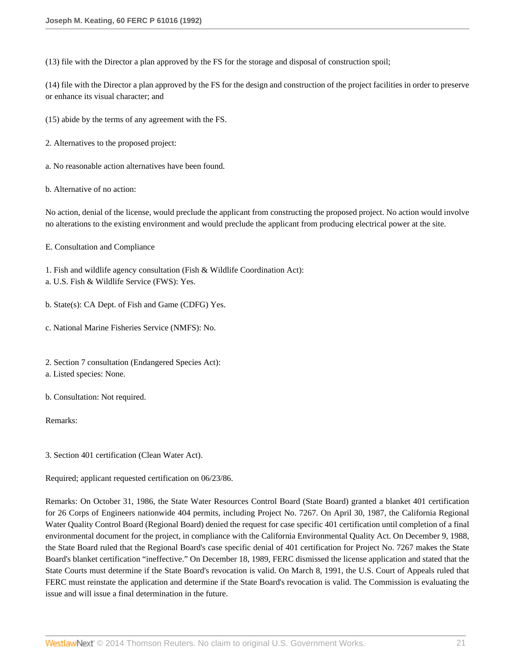(13) file with the Director a plan approved by the FS for the storage and disposal of construction spoil;

(14) file with the Director a plan approved by the FS for the design and construction of the project facilities in order to preserve or enhance its visual character; and

(15) abide by the terms of any agreement with the FS.

- 2. Alternatives to the proposed project:
- a. No reasonable action alternatives have been found.

b. Alternative of no action:

No action, denial of the license, would preclude the applicant from constructing the proposed project. No action would involve no alterations to the existing environment and would preclude the applicant from producing electrical power at the site.

E. Consultation and Compliance

- 1. Fish and wildlife agency consultation (Fish & Wildlife Coordination Act):
- a. U.S. Fish & Wildlife Service (FWS): Yes.
- b. State(s): CA Dept. of Fish and Game (CDFG) Yes.
- c. National Marine Fisheries Service (NMFS): No.
- 2. Section 7 consultation (Endangered Species Act):
- a. Listed species: None.

b. Consultation: Not required.

Remarks:

3. Section 401 certification (Clean Water Act).

Required; applicant requested certification on 06/23/86.

Remarks: On October 31, 1986, the State Water Resources Control Board (State Board) granted a blanket 401 certification for 26 Corps of Engineers nationwide 404 permits, including Project No. 7267. On April 30, 1987, the California Regional Water Quality Control Board (Regional Board) denied the request for case specific 401 certification until completion of a final environmental document for the project, in compliance with the California Environmental Quality Act. On December 9, 1988, the State Board ruled that the Regional Board's case specific denial of 401 certification for Project No. 7267 makes the State Board's blanket certification "ineffective." On December 18, 1989, FERC dismissed the license application and stated that the State Courts must determine if the State Board's revocation is valid. On March 8, 1991, the U.S. Court of Appeals ruled that FERC must reinstate the application and determine if the State Board's revocation is valid. The Commission is evaluating the issue and will issue a final determination in the future.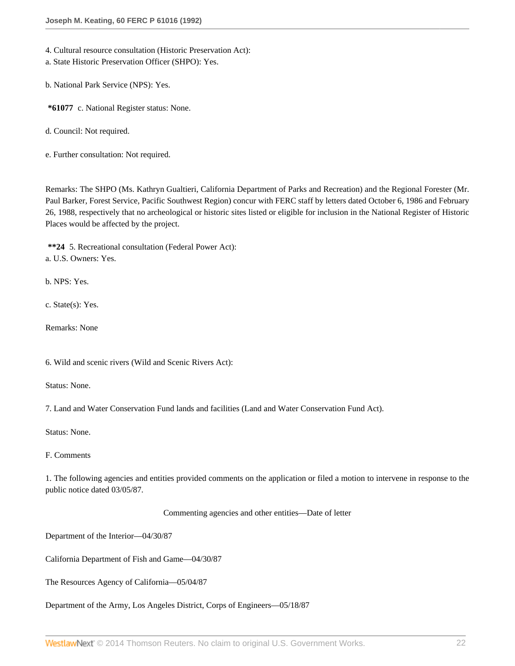4. Cultural resource consultation (Historic Preservation Act):

a. State Historic Preservation Officer (SHPO): Yes.

b. National Park Service (NPS): Yes.

**\*61077** c. National Register status: None.

d. Council: Not required.

e. Further consultation: Not required.

Remarks: The SHPO (Ms. Kathryn Gualtieri, California Department of Parks and Recreation) and the Regional Forester (Mr. Paul Barker, Forest Service, Pacific Southwest Region) concur with FERC staff by letters dated October 6, 1986 and February 26, 1988, respectively that no archeological or historic sites listed or eligible for inclusion in the National Register of Historic Places would be affected by the project.

**\*\*24** 5. Recreational consultation (Federal Power Act): a. U.S. Owners: Yes.

b. NPS: Yes.

c. State(s): Yes.

Remarks: None

6. Wild and scenic rivers (Wild and Scenic Rivers Act):

Status: None.

7. Land and Water Conservation Fund lands and facilities (Land and Water Conservation Fund Act).

Status: None.

#### F. Comments

1. The following agencies and entities provided comments on the application or filed a motion to intervene in response to the public notice dated 03/05/87.

Commenting agencies and other entities—Date of letter

Department of the Interior—04/30/87

California Department of Fish and Game—04/30/87

The Resources Agency of California—05/04/87

Department of the Army, Los Angeles District, Corps of Engineers—05/18/87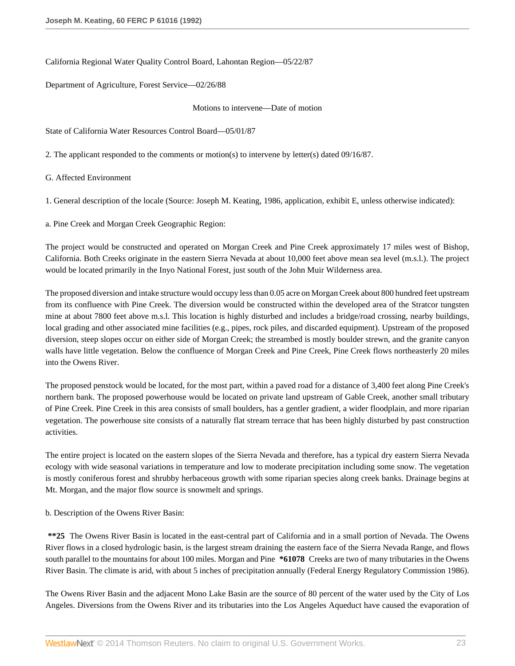California Regional Water Quality Control Board, Lahontan Region—05/22/87

Department of Agriculture, Forest Service—02/26/88

#### Motions to intervene—Date of motion

State of California Water Resources Control Board—05/01/87

2. The applicant responded to the comments or motion(s) to intervene by letter(s) dated 09/16/87.

G. Affected Environment

1. General description of the locale (Source: Joseph M. Keating, 1986, application, exhibit E, unless otherwise indicated):

a. Pine Creek and Morgan Creek Geographic Region:

The project would be constructed and operated on Morgan Creek and Pine Creek approximately 17 miles west of Bishop, California. Both Creeks originate in the eastern Sierra Nevada at about 10,000 feet above mean sea level (m.s.l.). The project would be located primarily in the Inyo National Forest, just south of the John Muir Wilderness area.

The proposed diversion and intake structure would occupy less than 0.05 acre on Morgan Creek about 800 hundred feet upstream from its confluence with Pine Creek. The diversion would be constructed within the developed area of the Stratcor tungsten mine at about 7800 feet above m.s.l. This location is highly disturbed and includes a bridge/road crossing, nearby buildings, local grading and other associated mine facilities (e.g., pipes, rock piles, and discarded equipment). Upstream of the proposed diversion, steep slopes occur on either side of Morgan Creek; the streambed is mostly boulder strewn, and the granite canyon walls have little vegetation. Below the confluence of Morgan Creek and Pine Creek, Pine Creek flows northeasterly 20 miles into the Owens River.

The proposed penstock would be located, for the most part, within a paved road for a distance of 3,400 feet along Pine Creek's northern bank. The proposed powerhouse would be located on private land upstream of Gable Creek, another small tributary of Pine Creek. Pine Creek in this area consists of small boulders, has a gentler gradient, a wider floodplain, and more riparian vegetation. The powerhouse site consists of a naturally flat stream terrace that has been highly disturbed by past construction activities.

The entire project is located on the eastern slopes of the Sierra Nevada and therefore, has a typical dry eastern Sierra Nevada ecology with wide seasonal variations in temperature and low to moderate precipitation including some snow. The vegetation is mostly coniferous forest and shrubby herbaceous growth with some riparian species along creek banks. Drainage begins at Mt. Morgan, and the major flow source is snowmelt and springs.

b. Description of the Owens River Basin:

**\*\*25** The Owens River Basin is located in the east-central part of California and in a small portion of Nevada. The Owens River flows in a closed hydrologic basin, is the largest stream draining the eastern face of the Sierra Nevada Range, and flows south parallel to the mountains for about 100 miles. Morgan and Pine **\*61078** Creeks are two of many tributaries in the Owens River Basin. The climate is arid, with about 5 inches of precipitation annually (Federal Energy Regulatory Commission 1986).

The Owens River Basin and the adjacent Mono Lake Basin are the source of 80 percent of the water used by the City of Los Angeles. Diversions from the Owens River and its tributaries into the Los Angeles Aqueduct have caused the evaporation of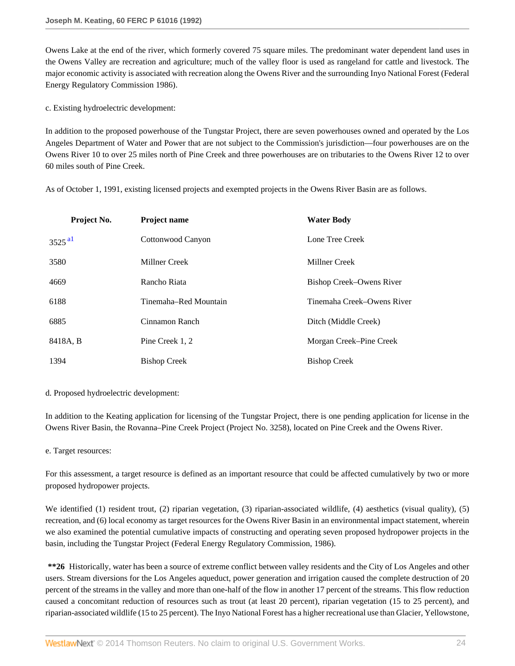Owens Lake at the end of the river, which formerly covered 75 square miles. The predominant water dependent land uses in the Owens Valley are recreation and agriculture; much of the valley floor is used as rangeland for cattle and livestock. The major economic activity is associated with recreation along the Owens River and the surrounding Inyo National Forest (Federal Energy Regulatory Commission 1986).

c. Existing hydroelectric development:

In addition to the proposed powerhouse of the Tungstar Project, there are seven powerhouses owned and operated by the Los Angeles Department of Water and Power that are not subject to the Commission's jurisdiction—four powerhouses are on the Owens River 10 to over 25 miles north of Pine Creek and three powerhouses are on tributaries to the Owens River 12 to over 60 miles south of Pine Creek.

As of October 1, 1991, existing licensed projects and exempted projects in the Owens River Basin are as follows.

<span id="page-23-0"></span>

| Project No.          | Project name          | <b>Water Body</b>          |
|----------------------|-----------------------|----------------------------|
| $3525$ <sup>al</sup> | Cottonwood Canyon     | Lone Tree Creek            |
| 3580                 | Millner Creek         | Millner Creek              |
| 4669                 | Rancho Riata          | Bishop Creek-Owens River   |
| 6188                 | Tinemaha–Red Mountain | Tinemaha Creek–Owens River |
| 6885                 | Cinnamon Ranch        | Ditch (Middle Creek)       |
| 8418A, B             | Pine Creek 1, 2       | Morgan Creek–Pine Creek    |
| 1394                 | <b>Bishop Creek</b>   | <b>Bishop Creek</b>        |

d. Proposed hydroelectric development:

In addition to the Keating application for licensing of the Tungstar Project, there is one pending application for license in the Owens River Basin, the Rovanna–Pine Creek Project (Project No. 3258), located on Pine Creek and the Owens River.

e. Target resources:

For this assessment, a target resource is defined as an important resource that could be affected cumulatively by two or more proposed hydropower projects.

We identified (1) resident trout, (2) riparian vegetation, (3) riparian-associated wildlife, (4) aesthetics (visual quality), (5) recreation, and (6) local economy as target resources for the Owens River Basin in an environmental impact statement, wherein we also examined the potential cumulative impacts of constructing and operating seven proposed hydropower projects in the basin, including the Tungstar Project (Federal Energy Regulatory Commission, 1986).

**\*\*26** Historically, water has been a source of extreme conflict between valley residents and the City of Los Angeles and other users. Stream diversions for the Los Angeles aqueduct, power generation and irrigation caused the complete destruction of 20 percent of the streams in the valley and more than one-half of the flow in another 17 percent of the streams. This flow reduction caused a concomitant reduction of resources such as trout (at least 20 percent), riparian vegetation (15 to 25 percent), and riparian-associated wildlife (15 to 25 percent). The Inyo National Forest has a higher recreational use than Glacier, Yellowstone,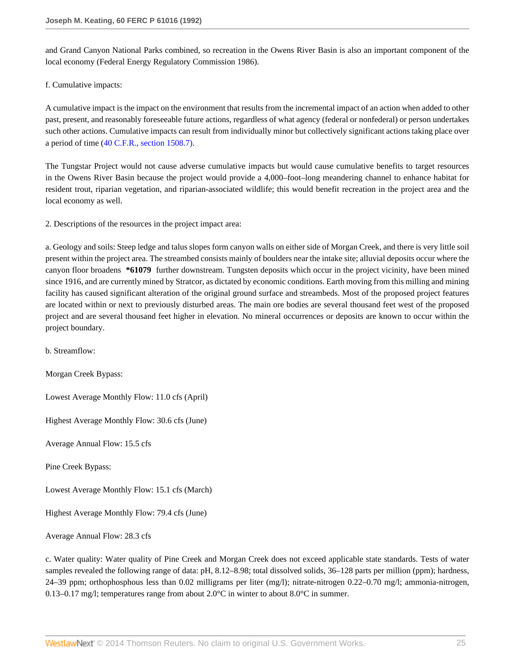and Grand Canyon National Parks combined, so recreation in the Owens River Basin is also an important component of the local economy (Federal Energy Regulatory Commission 1986).

### f. Cumulative impacts:

A cumulative impact is the impact on the environment that results from the incremental impact of an action when added to other past, present, and reasonably foreseeable future actions, regardless of what agency (federal or nonfederal) or person undertakes such other actions. Cumulative impacts can result from individually minor but collectively significant actions taking place over a period of time [\(40 C.F.R., section 1508.7\).](http://www.westlaw.com/Link/Document/FullText?findType=L&pubNum=1000547&cite=40CFRS1508.7&originatingDoc=I8bf25e49392d11db80c2e56cac103088&refType=LQ&originationContext=document&vr=3.0&rs=cblt1.0&transitionType=DocumentItem&contextData=(sc.DocLink))

The Tungstar Project would not cause adverse cumulative impacts but would cause cumulative benefits to target resources in the Owens River Basin because the project would provide a 4,000–foot–long meandering channel to enhance habitat for resident trout, riparian vegetation, and riparian-associated wildlife; this would benefit recreation in the project area and the local economy as well.

2. Descriptions of the resources in the project impact area:

a. Geology and soils: Steep ledge and talus slopes form canyon walls on either side of Morgan Creek, and there is very little soil present within the project area. The streambed consists mainly of boulders near the intake site; alluvial deposits occur where the canyon floor broadens **\*61079** further downstream. Tungsten deposits which occur in the project vicinity, have been mined since 1916, and are currently mined by Stratcor, as dictated by economic conditions. Earth moving from this milling and mining facility has caused significant alteration of the original ground surface and streambeds. Most of the proposed project features are located within or next to previously disturbed areas. The main ore bodies are several thousand feet west of the proposed project and are several thousand feet higher in elevation. No mineral occurrences or deposits are known to occur within the project boundary.

b. Streamflow:

Morgan Creek Bypass:

Lowest Average Monthly Flow: 11.0 cfs (April)

Highest Average Monthly Flow: 30.6 cfs (June)

Average Annual Flow: 15.5 cfs

Pine Creek Bypass:

Lowest Average Monthly Flow: 15.1 cfs (March)

Highest Average Monthly Flow: 79.4 cfs (June)

Average Annual Flow: 28.3 cfs

c. Water quality: Water quality of Pine Creek and Morgan Creek does not exceed applicable state standards. Tests of water samples revealed the following range of data: pH, 8.12–8.98; total dissolved solids, 36–128 parts per million (ppm); hardness, 24–39 ppm; orthophosphous less than 0.02 milligrams per liter (mg/l); nitrate-nitrogen 0.22–0.70 mg/l; ammonia-nitrogen, 0.13–0.17 mg/l; temperatures range from about 2.0°C in winter to about 8.0°C in summer.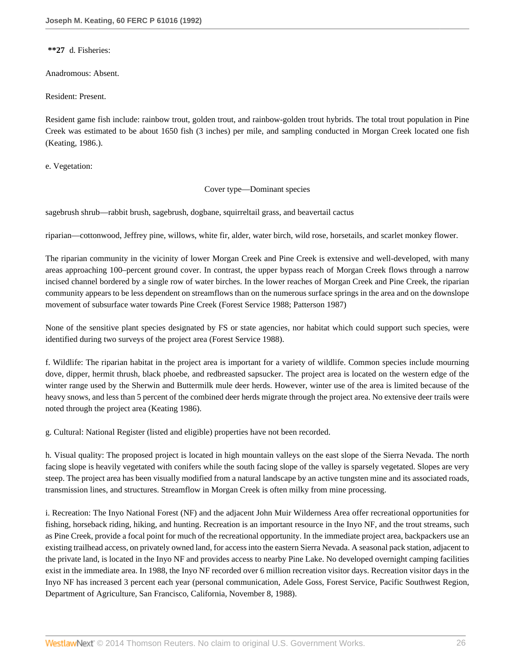**\*\*27** d. Fisheries:

Anadromous: Absent.

Resident: Present.

Resident game fish include: rainbow trout, golden trout, and rainbow-golden trout hybrids. The total trout population in Pine Creek was estimated to be about 1650 fish (3 inches) per mile, and sampling conducted in Morgan Creek located one fish (Keating, 1986.).

e. Vegetation:

Cover type—Dominant species

sagebrush shrub—rabbit brush, sagebrush, dogbane, squirreltail grass, and beavertail cactus

riparian—cottonwood, Jeffrey pine, willows, white fir, alder, water birch, wild rose, horsetails, and scarlet monkey flower.

The riparian community in the vicinity of lower Morgan Creek and Pine Creek is extensive and well-developed, with many areas approaching 100–percent ground cover. In contrast, the upper bypass reach of Morgan Creek flows through a narrow incised channel bordered by a single row of water birches. In the lower reaches of Morgan Creek and Pine Creek, the riparian community appears to be less dependent on streamflows than on the numerous surface springs in the area and on the downslope movement of subsurface water towards Pine Creek (Forest Service 1988; Patterson 1987)

None of the sensitive plant species designated by FS or state agencies, nor habitat which could support such species, were identified during two surveys of the project area (Forest Service 1988).

f. Wildlife: The riparian habitat in the project area is important for a variety of wildlife. Common species include mourning dove, dipper, hermit thrush, black phoebe, and redbreasted sapsucker. The project area is located on the western edge of the winter range used by the Sherwin and Buttermilk mule deer herds. However, winter use of the area is limited because of the heavy snows, and less than 5 percent of the combined deer herds migrate through the project area. No extensive deer trails were noted through the project area (Keating 1986).

g. Cultural: National Register (listed and eligible) properties have not been recorded.

h. Visual quality: The proposed project is located in high mountain valleys on the east slope of the Sierra Nevada. The north facing slope is heavily vegetated with conifers while the south facing slope of the valley is sparsely vegetated. Slopes are very steep. The project area has been visually modified from a natural landscape by an active tungsten mine and its associated roads, transmission lines, and structures. Streamflow in Morgan Creek is often milky from mine processing.

i. Recreation: The Inyo National Forest (NF) and the adjacent John Muir Wilderness Area offer recreational opportunities for fishing, horseback riding, hiking, and hunting. Recreation is an important resource in the Inyo NF, and the trout streams, such as Pine Creek, provide a focal point for much of the recreational opportunity. In the immediate project area, backpackers use an existing trailhead access, on privately owned land, for access into the eastern Sierra Nevada. A seasonal pack station, adjacent to the private land, is located in the Inyo NF and provides access to nearby Pine Lake. No developed overnight camping facilities exist in the immediate area. In 1988, the Inyo NF recorded over 6 million recreation visitor days. Recreation visitor days in the Inyo NF has increased 3 percent each year (personal communication, Adele Goss, Forest Service, Pacific Southwest Region, Department of Agriculture, San Francisco, California, November 8, 1988).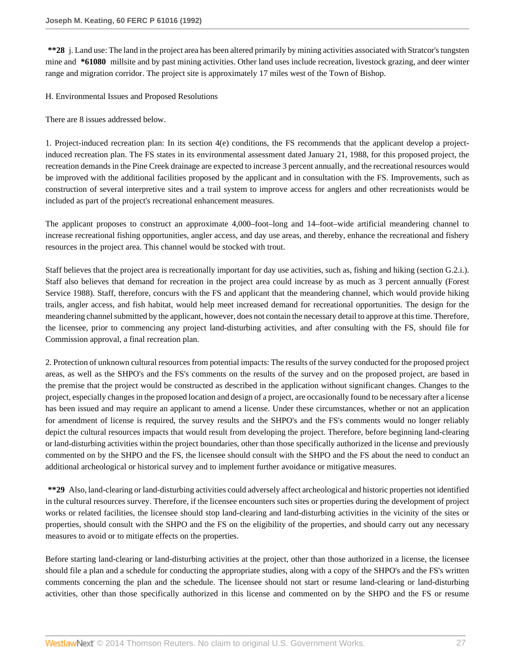**\*\*28** j. Land use: The land in the project area has been altered primarily by mining activities associated with Stratcor's tungsten mine and **\*61080** millsite and by past mining activities. Other land uses include recreation, livestock grazing, and deer winter range and migration corridor. The project site is approximately 17 miles west of the Town of Bishop.

H. Environmental Issues and Proposed Resolutions

There are 8 issues addressed below.

1. Project-induced recreation plan: In its section 4(e) conditions, the FS recommends that the applicant develop a projectinduced recreation plan. The FS states in its environmental assessment dated January 21, 1988, for this proposed project, the recreation demands in the Pine Creek drainage are expected to increase 3 percent annually, and the recreational resources would be improved with the additional facilities proposed by the applicant and in consultation with the FS. Improvements, such as construction of several interpretive sites and a trail system to improve access for anglers and other recreationists would be included as part of the project's recreational enhancement measures.

The applicant proposes to construct an approximate 4,000–foot–long and 14–foot–wide artificial meandering channel to increase recreational fishing opportunities, angler access, and day use areas, and thereby, enhance the recreational and fishery resources in the project area. This channel would be stocked with trout.

Staff believes that the project area is recreationally important for day use activities, such as, fishing and hiking (section G.2.i.). Staff also believes that demand for recreation in the project area could increase by as much as 3 percent annually (Forest Service 1988). Staff, therefore, concurs with the FS and applicant that the meandering channel, which would provide hiking trails, angler access, and fish habitat, would help meet increased demand for recreational opportunities. The design for the meandering channel submitted by the applicant, however, does not contain the necessary detail to approve at this time. Therefore, the licensee, prior to commencing any project land-disturbing activities, and after consulting with the FS, should file for Commission approval, a final recreation plan.

2. Protection of unknown cultural resources from potential impacts: The results of the survey conducted for the proposed project areas, as well as the SHPO's and the FS's comments on the results of the survey and on the proposed project, are based in the premise that the project would be constructed as described in the application without significant changes. Changes to the project, especially changes in the proposed location and design of a project, are occasionally found to be necessary after a license has been issued and may require an applicant to amend a license. Under these circumstances, whether or not an application for amendment of license is required, the survey results and the SHPO's and the FS's comments would no longer reliably depict the cultural resources impacts that would result from developing the project. Therefore, before beginning land-clearing or land-disturbing activities within the project boundaries, other than those specifically authorized in the license and previously commented on by the SHPO and the FS, the licensee should consult with the SHPO and the FS about the need to conduct an additional archeological or historical survey and to implement further avoidance or mitigative measures.

**\*\*29** Also, land-clearing or land-disturbing activities could adversely affect archeological and historic properties not identified in the cultural resources survey. Therefore, if the licensee encounters such sites or properties during the development of project works or related facilities, the licensee should stop land-clearing and land-disturbing activities in the vicinity of the sites or properties, should consult with the SHPO and the FS on the eligibility of the properties, and should carry out any necessary measures to avoid or to mitigate effects on the properties.

Before starting land-clearing or land-disturbing activities at the project, other than those authorized in a license, the licensee should file a plan and a schedule for conducting the appropriate studies, along with a copy of the SHPO's and the FS's written comments concerning the plan and the schedule. The licensee should not start or resume land-clearing or land-disturbing activities, other than those specifically authorized in this license and commented on by the SHPO and the FS or resume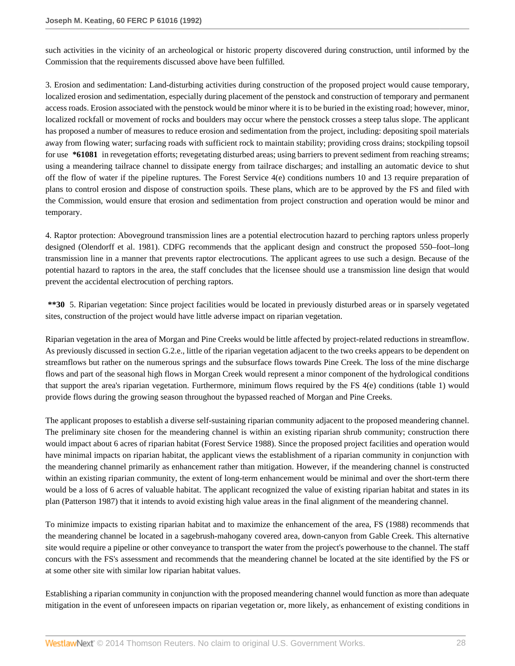such activities in the vicinity of an archeological or historic property discovered during construction, until informed by the Commission that the requirements discussed above have been fulfilled.

3. Erosion and sedimentation: Land-disturbing activities during construction of the proposed project would cause temporary, localized erosion and sedimentation, especially during placement of the penstock and construction of temporary and permanent access roads. Erosion associated with the penstock would be minor where it is to be buried in the existing road; however, minor, localized rockfall or movement of rocks and boulders may occur where the penstock crosses a steep talus slope. The applicant has proposed a number of measures to reduce erosion and sedimentation from the project, including: depositing spoil materials away from flowing water; surfacing roads with sufficient rock to maintain stability; providing cross drains; stockpiling topsoil for use **\*61081** in revegetation efforts; revegetating disturbed areas; using barriers to prevent sediment from reaching streams; using a meandering tailrace channel to dissipate energy from tailrace discharges; and installing an automatic device to shut off the flow of water if the pipeline ruptures. The Forest Service 4(e) conditions numbers 10 and 13 require preparation of plans to control erosion and dispose of construction spoils. These plans, which are to be approved by the FS and filed with the Commission, would ensure that erosion and sedimentation from project construction and operation would be minor and temporary.

4. Raptor protection: Aboveground transmission lines are a potential electrocution hazard to perching raptors unless properly designed (Olendorff et al. 1981). CDFG recommends that the applicant design and construct the proposed 550–foot–long transmission line in a manner that prevents raptor electrocutions. The applicant agrees to use such a design. Because of the potential hazard to raptors in the area, the staff concludes that the licensee should use a transmission line design that would prevent the accidental electrocution of perching raptors.

**\*\*30** 5. Riparian vegetation: Since project facilities would be located in previously disturbed areas or in sparsely vegetated sites, construction of the project would have little adverse impact on riparian vegetation.

Riparian vegetation in the area of Morgan and Pine Creeks would be little affected by project-related reductions in streamflow. As previously discussed in section G.2.e., little of the riparian vegetation adjacent to the two creeks appears to be dependent on streamflows but rather on the numerous springs and the subsurface flows towards Pine Creek. The loss of the mine discharge flows and part of the seasonal high flows in Morgan Creek would represent a minor component of the hydrological conditions that support the area's riparian vegetation. Furthermore, minimum flows required by the FS 4(e) conditions (table 1) would provide flows during the growing season throughout the bypassed reached of Morgan and Pine Creeks.

The applicant proposes to establish a diverse self-sustaining riparian community adjacent to the proposed meandering channel. The preliminary site chosen for the meandering channel is within an existing riparian shrub community; construction there would impact about 6 acres of riparian habitat (Forest Service 1988). Since the proposed project facilities and operation would have minimal impacts on riparian habitat, the applicant views the establishment of a riparian community in conjunction with the meandering channel primarily as enhancement rather than mitigation. However, if the meandering channel is constructed within an existing riparian community, the extent of long-term enhancement would be minimal and over the short-term there would be a loss of 6 acres of valuable habitat. The applicant recognized the value of existing riparian habitat and states in its plan (Patterson 1987) that it intends to avoid existing high value areas in the final alignment of the meandering channel.

To minimize impacts to existing riparian habitat and to maximize the enhancement of the area, FS (1988) recommends that the meandering channel be located in a sagebrush-mahogany covered area, down-canyon from Gable Creek. This alternative site would require a pipeline or other conveyance to transport the water from the project's powerhouse to the channel. The staff concurs with the FS's assessment and recommends that the meandering channel be located at the site identified by the FS or at some other site with similar low riparian habitat values.

Establishing a riparian community in conjunction with the proposed meandering channel would function as more than adequate mitigation in the event of unforeseen impacts on riparian vegetation or, more likely, as enhancement of existing conditions in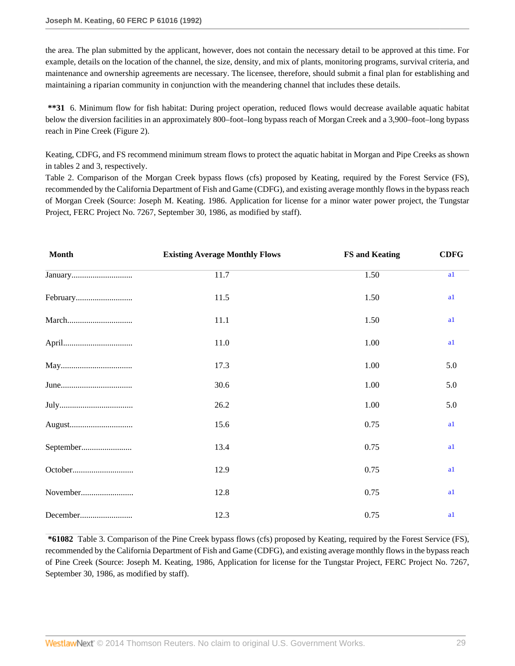the area. The plan submitted by the applicant, however, does not contain the necessary detail to be approved at this time. For example, details on the location of the channel, the size, density, and mix of plants, monitoring programs, survival criteria, and maintenance and ownership agreements are necessary. The licensee, therefore, should submit a final plan for establishing and maintaining a riparian community in conjunction with the meandering channel that includes these details.

**\*\*31** 6. Minimum flow for fish habitat: During project operation, reduced flows would decrease available aquatic habitat below the diversion facilities in an approximately 800–foot–long bypass reach of Morgan Creek and a 3,900–foot–long bypass reach in Pine Creek (Figure 2).

Keating, CDFG, and FS recommend minimum stream flows to protect the aquatic habitat in Morgan and Pipe Creeks as shown in tables 2 and 3, respectively.

Table 2. Comparison of the Morgan Creek bypass flows (cfs) proposed by Keating, required by the Forest Service (FS), recommended by the California Department of Fish and Game (CDFG), and existing average monthly flows in the bypass reach of Morgan Creek (Source: Joseph M. Keating. 1986. Application for license for a minor water power project, the Tungstar Project, FERC Project No. 7267, September 30, 1986, as modified by staff).

<span id="page-28-0"></span>

| <b>Month</b> | <b>Existing Average Monthly Flows</b> | <b>FS and Keating</b> | <b>CDFG</b> |
|--------------|---------------------------------------|-----------------------|-------------|
|              | 11.7                                  | 1.50                  | a1          |
|              | 11.5                                  | 1.50                  | a1          |
|              | 11.1                                  | 1.50                  | a1          |
|              | 11.0                                  | 1.00                  | a1          |
|              | 17.3                                  | 1.00                  | 5.0         |
|              | 30.6                                  | 1.00                  | 5.0         |
|              | 26.2                                  | 1.00                  | 5.0         |
|              | 15.6                                  | 0.75                  | a1          |
| September    | 13.4                                  | 0.75                  | a1          |
|              | 12.9                                  | 0.75                  | a1          |
| November     | 12.8                                  | 0.75                  | a1          |
| December     | 12.3                                  | 0.75                  | a1          |

**\*61082** Table 3. Comparison of the Pine Creek bypass flows (cfs) proposed by Keating, required by the Forest Service (FS), recommended by the California Department of Fish and Game (CDFG), and existing average monthly flows in the bypass reach of Pine Creek (Source: Joseph M. Keating, 1986, Application for license for the Tungstar Project, FERC Project No. 7267, September 30, 1986, as modified by staff).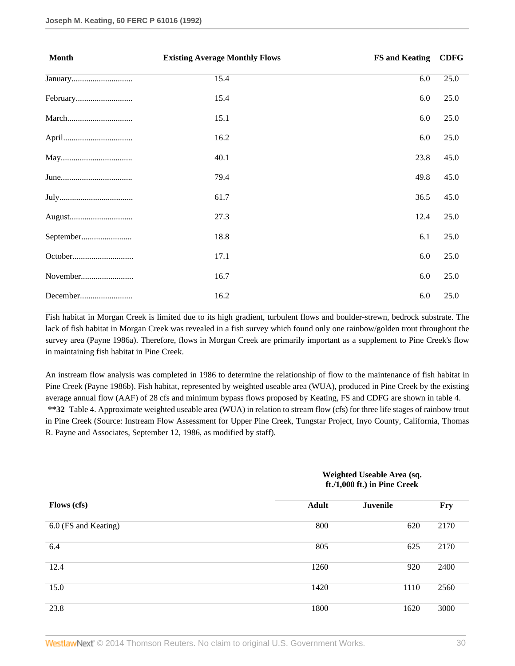| <b>Month</b> | <b>Existing Average Monthly Flows</b> | <b>FS and Keating</b> | <b>CDFG</b> |
|--------------|---------------------------------------|-----------------------|-------------|
|              | 15.4                                  | 6.0                   | 25.0        |
|              | 15.4                                  | 6.0                   | 25.0        |
|              | 15.1                                  | 6.0                   | 25.0        |
|              | 16.2                                  | 6.0                   | 25.0        |
|              | 40.1                                  | 23.8                  | 45.0        |
|              | 79.4                                  | 49.8                  | 45.0        |
|              | 61.7                                  | 36.5                  | 45.0        |
|              | 27.3                                  | 12.4                  | 25.0        |
| September    | 18.8                                  | 6.1                   | 25.0        |
|              | 17.1                                  | 6.0                   | 25.0        |
|              | 16.7                                  | 6.0                   | 25.0        |
| December     | 16.2                                  | 6.0                   | 25.0        |

Fish habitat in Morgan Creek is limited due to its high gradient, turbulent flows and boulder-strewn, bedrock substrate. The lack of fish habitat in Morgan Creek was revealed in a fish survey which found only one rainbow/golden trout throughout the survey area (Payne 1986a). Therefore, flows in Morgan Creek are primarily important as a supplement to Pine Creek's flow in maintaining fish habitat in Pine Creek.

An instream flow analysis was completed in 1986 to determine the relationship of flow to the maintenance of fish habitat in Pine Creek (Payne 1986b). Fish habitat, represented by weighted useable area (WUA), produced in Pine Creek by the existing average annual flow (AAF) of 28 cfs and minimum bypass flows proposed by Keating, FS and CDFG are shown in table 4. **\*\*32** Table 4. Approximate weighted useable area (WUA) in relation to stream flow (cfs) for three life stages of rainbow trout in Pine Creek (Source: Instream Flow Assessment for Upper Pine Creek, Tungstar Project, Inyo County, California, Thomas R. Payne and Associates, September 12, 1986, as modified by staff).

### **Weighted Useable Area (sq. ft./1,000 ft.) in Pine Creek**

| Flows (cfs)          | <b>Adult</b> | <b>Juvenile</b> | <b>Fry</b> |
|----------------------|--------------|-----------------|------------|
| 6.0 (FS and Keating) | 800          | 620             | 2170       |
| 6.4                  | 805          | 625             | 2170       |
| 12.4                 | 1260         | 920             | 2400       |
| 15.0                 | 1420         | 1110            | 2560       |
| 23.8                 | 1800         | 1620            | 3000       |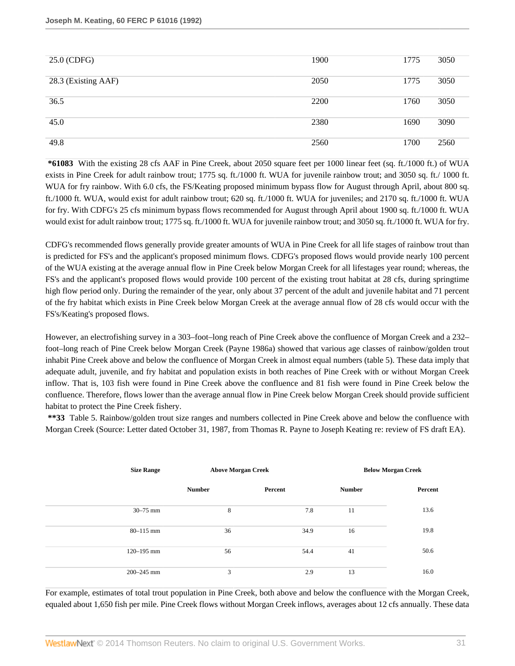| 25.0 (CDFG)         | 1900 | 1775 | 3050 |
|---------------------|------|------|------|
| 28.3 (Existing AAF) | 2050 | 1775 | 3050 |
| 36.5                | 2200 | 1760 | 3050 |
| 45.0                | 2380 | 1690 | 3090 |
| 49.8                | 2560 | 1700 | 2560 |

**\*61083** With the existing 28 cfs AAF in Pine Creek, about 2050 square feet per 1000 linear feet (sq. ft./1000 ft.) of WUA exists in Pine Creek for adult rainbow trout; 1775 sq. ft./1000 ft. WUA for juvenile rainbow trout; and 3050 sq. ft./ 1000 ft. WUA for fry rainbow. With 6.0 cfs, the FS/Keating proposed minimum bypass flow for August through April, about 800 sq. ft./1000 ft. WUA, would exist for adult rainbow trout; 620 sq. ft./1000 ft. WUA for juveniles; and 2170 sq. ft./1000 ft. WUA for fry. With CDFG's 25 cfs minimum bypass flows recommended for August through April about 1900 sq. ft./1000 ft. WUA would exist for adult rainbow trout; 1775 sq. ft./1000 ft. WUA for juvenile rainbow trout; and 3050 sq. ft./1000 ft. WUA for fry.

CDFG's recommended flows generally provide greater amounts of WUA in Pine Creek for all life stages of rainbow trout than is predicted for FS's and the applicant's proposed minimum flows. CDFG's proposed flows would provide nearly 100 percent of the WUA existing at the average annual flow in Pine Creek below Morgan Creek for all lifestages year round; whereas, the FS's and the applicant's proposed flows would provide 100 percent of the existing trout habitat at 28 cfs, during springtime high flow period only. During the remainder of the year, only about 37 percent of the adult and juvenile habitat and 71 percent of the fry habitat which exists in Pine Creek below Morgan Creek at the average annual flow of 28 cfs would occur with the FS's/Keating's proposed flows.

However, an electrofishing survey in a 303–foot–long reach of Pine Creek above the confluence of Morgan Creek and a 232– foot–long reach of Pine Creek below Morgan Creek (Payne 1986a) showed that various age classes of rainbow/golden trout inhabit Pine Creek above and below the confluence of Morgan Creek in almost equal numbers (table 5). These data imply that adequate adult, juvenile, and fry habitat and population exists in both reaches of Pine Creek with or without Morgan Creek inflow. That is, 103 fish were found in Pine Creek above the confluence and 81 fish were found in Pine Creek below the confluence. Therefore, flows lower than the average annual flow in Pine Creek below Morgan Creek should provide sufficient habitat to protect the Pine Creek fishery.

**\*\*33** Table 5. Rainbow/golden trout size ranges and numbers collected in Pine Creek above and below the confluence with Morgan Creek (Source: Letter dated October 31, 1987, from Thomas R. Payne to Joseph Keating re: review of FS draft EA).

| <b>Size Range</b> | <b>Above Morgan Creek</b> |         |               | <b>Below Morgan Creek</b> |  |
|-------------------|---------------------------|---------|---------------|---------------------------|--|
|                   | <b>Number</b>             | Percent | <b>Number</b> | Percent                   |  |
| $30 - 75$ mm      | 8                         | 7.8     | 11            | 13.6                      |  |
| $80 - 115$ mm     | 36                        | 34.9    | 16            | 19.8                      |  |
| 120-195 mm        | 56                        | 54.4    | 41            | 50.6                      |  |
| $200 - 245$ mm    | 3                         | 2.9     | 13            | 16.0                      |  |

For example, estimates of total trout population in Pine Creek, both above and below the confluence with the Morgan Creek, equaled about 1,650 fish per mile. Pine Creek flows without Morgan Creek inflows, averages about 12 cfs annually. These data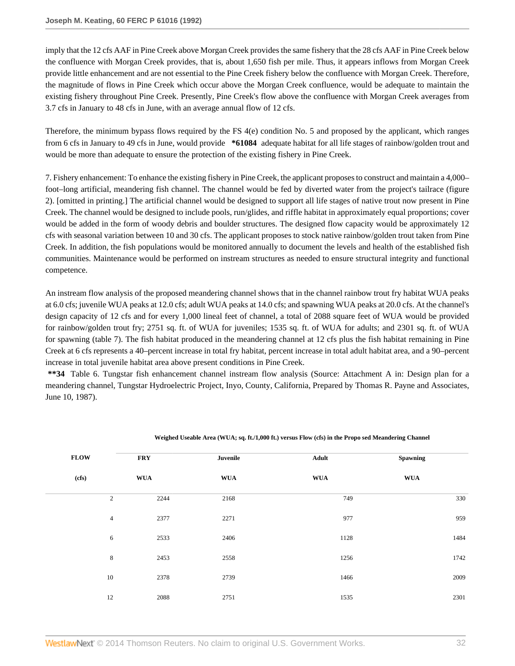imply that the 12 cfs AAF in Pine Creek above Morgan Creek provides the same fishery that the 28 cfs AAF in Pine Creek below the confluence with Morgan Creek provides, that is, about 1,650 fish per mile. Thus, it appears inflows from Morgan Creek provide little enhancement and are not essential to the Pine Creek fishery below the confluence with Morgan Creek. Therefore, the magnitude of flows in Pine Creek which occur above the Morgan Creek confluence, would be adequate to maintain the existing fishery throughout Pine Creek. Presently, Pine Creek's flow above the confluence with Morgan Creek averages from 3.7 cfs in January to 48 cfs in June, with an average annual flow of 12 cfs.

Therefore, the minimum bypass flows required by the FS 4(e) condition No. 5 and proposed by the applicant, which ranges from 6 cfs in January to 49 cfs in June, would provide **\*61084** adequate habitat for all life stages of rainbow/golden trout and would be more than adequate to ensure the protection of the existing fishery in Pine Creek.

7. Fishery enhancement: To enhance the existing fishery in Pine Creek, the applicant proposes to construct and maintain a 4,000– foot–long artificial, meandering fish channel. The channel would be fed by diverted water from the project's tailrace (figure 2). [omitted in printing.] The artificial channel would be designed to support all life stages of native trout now present in Pine Creek. The channel would be designed to include pools, run/glides, and riffle habitat in approximately equal proportions; cover would be added in the form of woody debris and boulder structures. The designed flow capacity would be approximately 12 cfs with seasonal variation between 10 and 30 cfs. The applicant proposes to stock native rainbow/golden trout taken from Pine Creek. In addition, the fish populations would be monitored annually to document the levels and health of the established fish communities. Maintenance would be performed on instream structures as needed to ensure structural integrity and functional competence.

An instream flow analysis of the proposed meandering channel shows that in the channel rainbow trout fry habitat WUA peaks at 6.0 cfs; juvenile WUA peaks at 12.0 cfs; adult WUA peaks at 14.0 cfs; and spawning WUA peaks at 20.0 cfs. At the channel's design capacity of 12 cfs and for every 1,000 lineal feet of channel, a total of 2088 square feet of WUA would be provided for rainbow/golden trout fry; 2751 sq. ft. of WUA for juveniles; 1535 sq. ft. of WUA for adults; and 2301 sq. ft. of WUA for spawning (table 7). The fish habitat produced in the meandering channel at 12 cfs plus the fish habitat remaining in Pine Creek at 6 cfs represents a 40–percent increase in total fry habitat, percent increase in total adult habitat area, and a 90–percent increase in total juvenile habitat area above present conditions in Pine Creek.

**\*\*34** Table 6. Tungstar fish enhancement channel instream flow analysis (Source: Attachment A in: Design plan for a meandering channel, Tungstar Hydroelectric Project, Inyo, County, California, Prepared by Thomas R. Payne and Associates, June 10, 1987).

| <b>FLOW</b>         | <b>FRY</b> | Juvenile   | Adult      | Spawning   |
|---------------------|------------|------------|------------|------------|
| (cfs)<br><b>WUA</b> |            | <b>WUA</b> | <b>WUA</b> | <b>WUA</b> |
| $\sqrt{2}$          | 2244       | 2168       | 749        | 330        |
| $\overline{4}$      | 2377       | 2271       | 977        | 959        |
| 6                   | 2533       | 2406       | 1128       | 1484       |
| $\,$ 8 $\,$         | 2453       | 2558       | 1256       | 1742       |
| $10\,$              | 2378       | 2739       | 1466       | 2009       |
| 12                  | 2088       | 2751       | 1535       | 2301       |

#### **Weighed Useable Area (WUA; sq. ft./1,000 ft.) versus Flow (cfs) in the Propo sed Meandering Channel**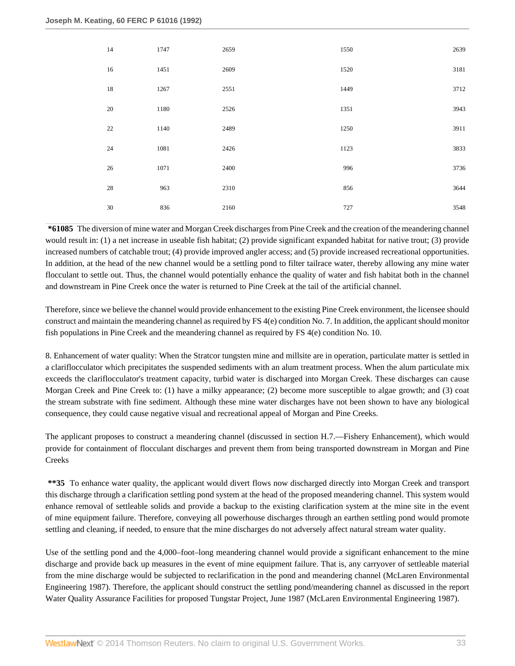| 14     | 1747 | 2659 | 1550 | 2639 |
|--------|------|------|------|------|
| 16     | 1451 | 2609 | 1520 | 3181 |
| 18     | 1267 | 2551 | 1449 | 3712 |
| $20\,$ | 1180 | 2526 | 1351 | 3943 |
| $22\,$ | 1140 | 2489 | 1250 | 3911 |
| $24\,$ | 1081 | 2426 | 1123 | 3833 |
| $26\,$ | 1071 | 2400 | 996  | 3736 |
| $28\,$ | 963  | 2310 | 856  | 3644 |
| 30     | 836  | 2160 | 727  | 3548 |

**\*61085** The diversion of mine water and Morgan Creek discharges from Pine Creek and the creation of the meandering channel would result in: (1) a net increase in useable fish habitat; (2) provide significant expanded habitat for native trout; (3) provide increased numbers of catchable trout; (4) provide improved angler access; and (5) provide increased recreational opportunities. In addition, at the head of the new channel would be a settling pond to filter tailrace water, thereby allowing any mine water flocculant to settle out. Thus, the channel would potentially enhance the quality of water and fish habitat both in the channel and downstream in Pine Creek once the water is returned to Pine Creek at the tail of the artificial channel.

Therefore, since we believe the channel would provide enhancement to the existing Pine Creek environment, the licensee should construct and maintain the meandering channel as required by FS 4(e) condition No. 7. In addition, the applicant should monitor fish populations in Pine Creek and the meandering channel as required by FS 4(e) condition No. 10.

8. Enhancement of water quality: When the Stratcor tungsten mine and millsite are in operation, particulate matter is settled in a clariflocculator which precipitates the suspended sediments with an alum treatment process. When the alum particulate mix exceeds the clariflocculator's treatment capacity, turbid water is discharged into Morgan Creek. These discharges can cause Morgan Creek and Pine Creek to: (1) have a milky appearance; (2) become more susceptible to algae growth; and (3) coat the stream substrate with fine sediment. Although these mine water discharges have not been shown to have any biological consequence, they could cause negative visual and recreational appeal of Morgan and Pine Creeks.

The applicant proposes to construct a meandering channel (discussed in section H.7.—Fishery Enhancement), which would provide for containment of flocculant discharges and prevent them from being transported downstream in Morgan and Pine Creeks

**\*\*35** To enhance water quality, the applicant would divert flows now discharged directly into Morgan Creek and transport this discharge through a clarification settling pond system at the head of the proposed meandering channel. This system would enhance removal of settleable solids and provide a backup to the existing clarification system at the mine site in the event of mine equipment failure. Therefore, conveying all powerhouse discharges through an earthen settling pond would promote settling and cleaning, if needed, to ensure that the mine discharges do not adversely affect natural stream water quality.

Use of the settling pond and the 4,000–foot–long meandering channel would provide a significant enhancement to the mine discharge and provide back up measures in the event of mine equipment failure. That is, any carryover of settleable material from the mine discharge would be subjected to reclarification in the pond and meandering channel (McLaren Environmental Engineering 1987). Therefore, the applicant should construct the settling pond/meandering channel as discussed in the report Water Quality Assurance Facilities for proposed Tungstar Project, June 1987 (McLaren Environmental Engineering 1987).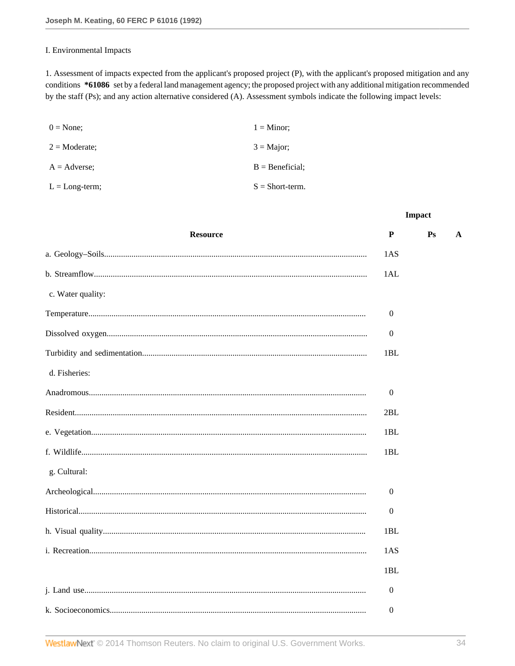### I. Environmental Impacts

1. Assessment of impacts expected from the applicant's proposed project (P), with the applicant's proposed mitigation and any conditions \*61086 set by a federal land management agency; the proposed project with any additional mitigation recommended by the staff (Ps); and any action alternative considered (A). Assessment symbols indicate the following impact levels:

| $0 = \text{None};$      | $1 =$ Minor;       |
|-------------------------|--------------------|
| $2 = \text{Moderate}$ ; | $3 =$ Major;       |
| $A =$ Adverse:          | $B =$ Beneficial;  |
| $L = Long-term;$        | $S = Short-term$ . |

| <b>Resource</b>   | P                | P <sub>S</sub> | A |
|-------------------|------------------|----------------|---|
|                   | 1AS              |                |   |
|                   | 1AL              |                |   |
| c. Water quality: |                  |                |   |
|                   | $\boldsymbol{0}$ |                |   |
|                   | $\boldsymbol{0}$ |                |   |
|                   | 1BL              |                |   |
| d. Fisheries:     |                  |                |   |
|                   | $\boldsymbol{0}$ |                |   |
|                   | 2BL              |                |   |
|                   | 1BL              |                |   |
|                   | 1BL              |                |   |
| g. Cultural:      |                  |                |   |
|                   | 0                |                |   |
|                   | $\boldsymbol{0}$ |                |   |
|                   | 1BL              |                |   |
|                   | 1AS              |                |   |
|                   | 1BL              |                |   |
|                   | $\boldsymbol{0}$ |                |   |
|                   | $\boldsymbol{0}$ |                |   |
|                   |                  |                |   |

**Impact**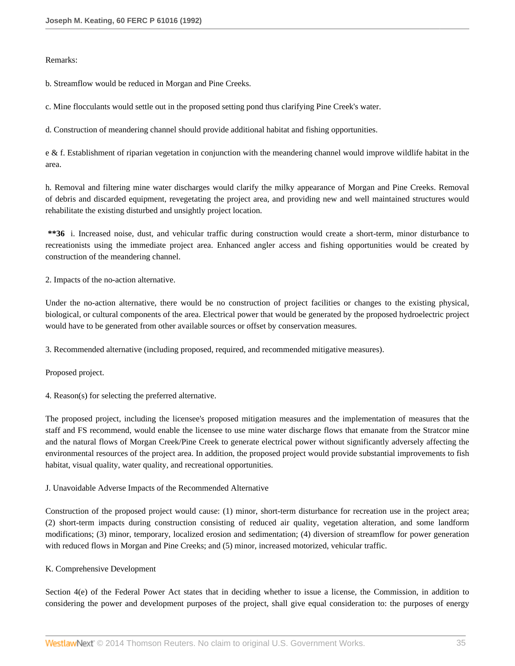### Remarks:

b. Streamflow would be reduced in Morgan and Pine Creeks.

c. Mine flocculants would settle out in the proposed setting pond thus clarifying Pine Creek's water.

d. Construction of meandering channel should provide additional habitat and fishing opportunities.

e & f. Establishment of riparian vegetation in conjunction with the meandering channel would improve wildlife habitat in the area.

h. Removal and filtering mine water discharges would clarify the milky appearance of Morgan and Pine Creeks. Removal of debris and discarded equipment, revegetating the project area, and providing new and well maintained structures would rehabilitate the existing disturbed and unsightly project location.

**\*\*36** i. Increased noise, dust, and vehicular traffic during construction would create a short-term, minor disturbance to recreationists using the immediate project area. Enhanced angler access and fishing opportunities would be created by construction of the meandering channel.

2. Impacts of the no-action alternative.

Under the no-action alternative, there would be no construction of project facilities or changes to the existing physical, biological, or cultural components of the area. Electrical power that would be generated by the proposed hydroelectric project would have to be generated from other available sources or offset by conservation measures.

3. Recommended alternative (including proposed, required, and recommended mitigative measures).

Proposed project.

4. Reason(s) for selecting the preferred alternative.

The proposed project, including the licensee's proposed mitigation measures and the implementation of measures that the staff and FS recommend, would enable the licensee to use mine water discharge flows that emanate from the Stratcor mine and the natural flows of Morgan Creek/Pine Creek to generate electrical power without significantly adversely affecting the environmental resources of the project area. In addition, the proposed project would provide substantial improvements to fish habitat, visual quality, water quality, and recreational opportunities.

J. Unavoidable Adverse Impacts of the Recommended Alternative

Construction of the proposed project would cause: (1) minor, short-term disturbance for recreation use in the project area; (2) short-term impacts during construction consisting of reduced air quality, vegetation alteration, and some landform modifications; (3) minor, temporary, localized erosion and sedimentation; (4) diversion of streamflow for power generation with reduced flows in Morgan and Pine Creeks; and (5) minor, increased motorized, vehicular traffic.

### K. Comprehensive Development

Section 4(e) of the Federal Power Act states that in deciding whether to issue a license, the Commission, in addition to considering the power and development purposes of the project, shall give equal consideration to: the purposes of energy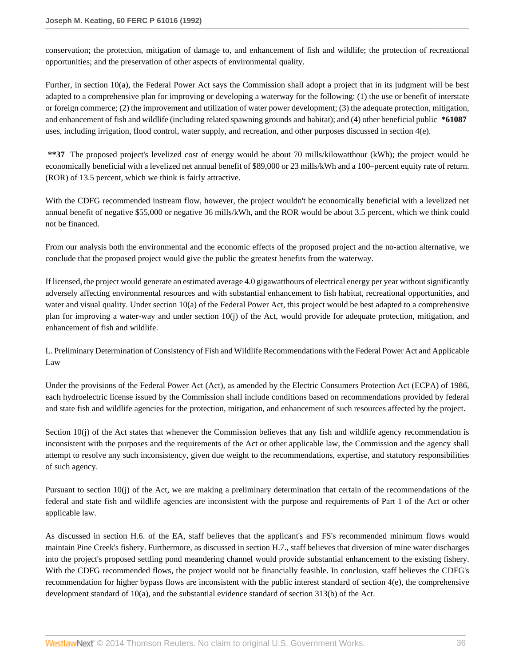conservation; the protection, mitigation of damage to, and enhancement of fish and wildlife; the protection of recreational opportunities; and the preservation of other aspects of environmental quality.

Further, in section 10(a), the Federal Power Act says the Commission shall adopt a project that in its judgment will be best adapted to a comprehensive plan for improving or developing a waterway for the following: (1) the use or benefit of interstate or foreign commerce; (2) the improvement and utilization of water power development; (3) the adequate protection, mitigation, and enhancement of fish and wildlife (including related spawning grounds and habitat); and (4) other beneficial public **\*61087** uses, including irrigation, flood control, water supply, and recreation, and other purposes discussed in section 4(e).

**\*\*37** The proposed project's levelized cost of energy would be about 70 mills/kilowatthour (kWh); the project would be economically beneficial with a levelized net annual benefit of \$89,000 or 23 mills/kWh and a 100–percent equity rate of return. (ROR) of 13.5 percent, which we think is fairly attractive.

With the CDFG recommended instream flow, however, the project wouldn't be economically beneficial with a levelized net annual benefit of negative \$55,000 or negative 36 mills/kWh, and the ROR would be about 3.5 percent, which we think could not be financed.

From our analysis both the environmental and the economic effects of the proposed project and the no-action alternative, we conclude that the proposed project would give the public the greatest benefits from the waterway.

If licensed, the project would generate an estimated average 4.0 gigawatthours of electrical energy per year without significantly adversely affecting environmental resources and with substantial enhancement to fish habitat, recreational opportunities, and water and visual quality. Under section 10(a) of the Federal Power Act, this project would be best adapted to a comprehensive plan for improving a water-way and under section 10(j) of the Act, would provide for adequate protection, mitigation, and enhancement of fish and wildlife.

L. Preliminary Determination of Consistency of Fish and Wildlife Recommendations with the Federal Power Act and Applicable Law

Under the provisions of the Federal Power Act (Act), as amended by the Electric Consumers Protection Act (ECPA) of 1986, each hydroelectric license issued by the Commission shall include conditions based on recommendations provided by federal and state fish and wildlife agencies for the protection, mitigation, and enhancement of such resources affected by the project.

Section  $10(i)$  of the Act states that whenever the Commission believes that any fish and wildlife agency recommendation is inconsistent with the purposes and the requirements of the Act or other applicable law, the Commission and the agency shall attempt to resolve any such inconsistency, given due weight to the recommendations, expertise, and statutory responsibilities of such agency.

Pursuant to section 10(j) of the Act, we are making a preliminary determination that certain of the recommendations of the federal and state fish and wildlife agencies are inconsistent with the purpose and requirements of Part 1 of the Act or other applicable law.

As discussed in section H.6. of the EA, staff believes that the applicant's and FS's recommended minimum flows would maintain Pine Creek's fishery. Furthermore, as discussed in section H.7., staff believes that diversion of mine water discharges into the project's proposed settling pond meandering channel would provide substantial enhancement to the existing fishery. With the CDFG recommended flows, the project would not be financially feasible. In conclusion, staff believes the CDFG's recommendation for higher bypass flows are inconsistent with the public interest standard of section 4(e), the comprehensive development standard of 10(a), and the substantial evidence standard of section 313(b) of the Act.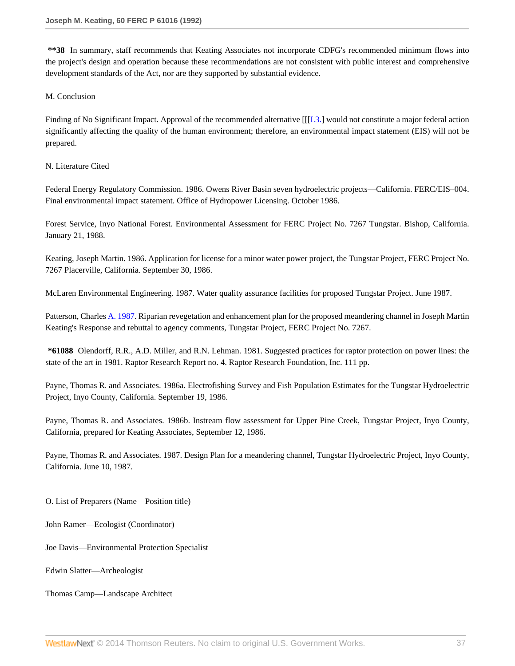**\*\*38** In summary, staff recommends that Keating Associates not incorporate CDFG's recommended minimum flows into the project's design and operation because these recommendations are not consistent with public interest and comprehensive development standards of the Act, nor are they supported by substantial evidence.

### M. Conclusion

Finding of No Significant Impact. Approval of the recommended alternative [[[\[I.3.\]](http://www.westlaw.com/Link/Document/FullText?findType=Y&pubNum=5301&cite=CGOI3&originationContext=document&vr=3.0&rs=cblt1.0&transitionType=DocumentItem&contextData=(sc.DocLink)) would not constitute a major federal action significantly affecting the quality of the human environment; therefore, an environmental impact statement (EIS) will not be prepared.

### N. Literature Cited

Federal Energy Regulatory Commission. 1986. Owens River Basin seven hydroelectric projects—California. FERC/EIS–004. Final environmental impact statement. Office of Hydropower Licensing. October 1986.

Forest Service, Inyo National Forest. Environmental Assessment for FERC Project No. 7267 Tungstar. Bishop, California. January 21, 1988.

Keating, Joseph Martin. 1986. Application for license for a minor water power project, the Tungstar Project, FERC Project No. 7267 Placerville, California. September 30, 1986.

McLaren Environmental Engineering. 1987. Water quality assurance facilities for proposed Tungstar Project. June 1987.

Patterson, Charles [A. 1987](http://www.westlaw.com/Link/Document/FullText?findType=Y&pubNum=5304&cite=CGOA1987&originationContext=document&vr=3.0&rs=cblt1.0&transitionType=DocumentItem&contextData=(sc.DocLink)). Riparian revegetation and enhancement plan for the proposed meandering channel in Joseph Martin Keating's Response and rebuttal to agency comments, Tungstar Project, FERC Project No. 7267.

**\*61088** Olendorff, R.R., A.D. Miller, and R.N. Lehman. 1981. Suggested practices for raptor protection on power lines: the state of the art in 1981. Raptor Research Report no. 4. Raptor Research Foundation, Inc. 111 pp.

Payne, Thomas R. and Associates. 1986a. Electrofishing Survey and Fish Population Estimates for the Tungstar Hydroelectric Project, Inyo County, California. September 19, 1986.

Payne, Thomas R. and Associates. 1986b. Instream flow assessment for Upper Pine Creek, Tungstar Project, Inyo County, California, prepared for Keating Associates, September 12, 1986.

Payne, Thomas R. and Associates. 1987. Design Plan for a meandering channel, Tungstar Hydroelectric Project, Inyo County, California. June 10, 1987.

O. List of Preparers (Name—Position title)

John Ramer—Ecologist (Coordinator)

Joe Davis—Environmental Protection Specialist

Edwin Slatter—Archeologist

Thomas Camp—Landscape Architect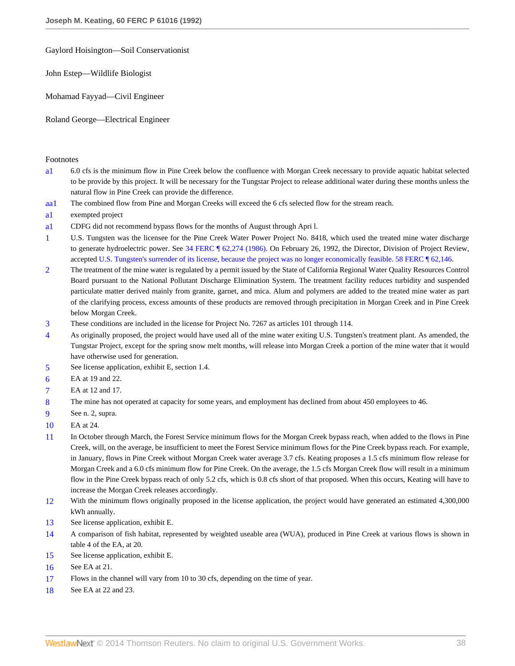Gaylord Hoisington—Soil Conservationist

John Estep—Wildlife Biologist

Mohamad Fayyad—Civil Engineer

Roland George—Electrical Engineer

#### Footnotes

- <span id="page-37-18"></span>[a1](#page-8-0) 6.0 cfs is the minimum flow in Pine Creek below the confluence with Morgan Creek necessary to provide aquatic habitat selected to be provide by this project. It will be necessary for the Tungstar Project to release additional water during these months unless the natural flow in Pine Creek can provide the difference.
- <span id="page-37-19"></span>[aa1](#page-8-1) The combined flow from Pine and Morgan Creeks will exceed the 6 cfs selected flow for the stream reach.
- <span id="page-37-20"></span>[a1](#page-23-0) exempted project
- <span id="page-37-21"></span>[a1](#page-28-0) CDFG did not recommend bypass flows for the months of August through Apri l.
- <span id="page-37-0"></span>[1](#page-0-0) U.S. Tungsten was the licensee for the Pine Creek Water Power Project No. 8418, which used the treated mine water discharge to generate hydroelectric power. See [34 FERC ¶ 62,274 \(1986\)](http://www.westlaw.com/Link/Document/FullText?findType=Y&serNum=1986271616&pubNum=0000920&originationContext=document&vr=3.0&rs=cblt1.0&transitionType=DocumentItem&contextData=(sc.DocLink)). On February 26, 1992, the Director, Division of Project Review, accepted [U.S. Tungsten's surrender of its license, because the project was no longer economically feasible. 58 FERC ¶ 62,146](http://www.westlaw.com/Link/Document/FullText?findType=Y&serNum=1992380110&pubNum=0000920&originationContext=document&vr=3.0&rs=cblt1.0&transitionType=DocumentItem&contextData=(sc.DocLink)).
- <span id="page-37-1"></span>[2](#page-0-1) The treatment of the mine water is regulated by a permit issued by the State of California Regional Water Quality Resources Control Board pursuant to the National Pollutant Discharge Elimination System. The treatment facility reduces turbidity and suspended particulate matter derived mainly from granite, garnet, and mica. Alum and polymers are added to the treated mine water as part of the clarifying process, excess amounts of these products are removed through precipitation in Morgan Creek and in Pine Creek below Morgan Creek.
- <span id="page-37-2"></span>[3](#page-1-0) These conditions are included in the license for Project No. 7267 as articles 101 through 114.
- <span id="page-37-3"></span>[4](#page-1-1) As originally proposed, the project would have used all of the mine water exiting U.S. Tungsten's treatment plant. As amended, the Tungstar Project, except for the spring snow melt months, will release into Morgan Creek a portion of the mine water that it would have otherwise used for generation.
- <span id="page-37-4"></span>[5](#page-2-0) See license application, exhibit E, section 1.4.
- <span id="page-37-5"></span>[6](#page-2-1) EA at 19 and 22.
- <span id="page-37-6"></span>[7](#page-2-2) EA at 12 and 17.
- <span id="page-37-7"></span>[8](#page-2-3) The mine has not operated at capacity for some years, and employment has declined from about 450 employees to 46.
- <span id="page-37-8"></span>[9](#page-2-4) See n. 2, supra.
- <span id="page-37-9"></span>[10](#page-2-5) EA at 24.
- <span id="page-37-10"></span>[11](#page-2-6) In October through March, the Forest Service minimum flows for the Morgan Creek bypass reach, when added to the flows in Pine Creek, will, on the average, be insufficient to meet the Forest Service minimum flows for the Pine Creek bypass reach. For example, in January, flows in Pine Creek without Morgan Creek water average 3.7 cfs. Keating proposes a 1.5 cfs minimum flow release for Morgan Creek and a 6.0 cfs minimum flow for Pine Creek. On the average, the 1.5 cfs Morgan Creek flow will result in a minimum flow in the Pine Creek bypass reach of only 5.2 cfs, which is 0.8 cfs short of that proposed. When this occurs, Keating will have to increase the Morgan Creek releases accordingly.
- <span id="page-37-11"></span>[12](#page-2-7) With the minimum flows originally proposed in the license application, the project would have generated an estimated 4,300,000 kWh annually.
- <span id="page-37-12"></span>[13](#page-2-8) See license application, exhibit E.
- <span id="page-37-13"></span>[14](#page-2-9) A comparison of fish habitat, represented by weighted useable area (WUA), produced in Pine Creek at various flows is shown in table 4 of the EA, at 20.
- <span id="page-37-14"></span>[15](#page-2-10) See license application, exhibit E.
- <span id="page-37-15"></span>[16](#page-3-0) See EA at 21.
- <span id="page-37-16"></span>[17](#page-3-1) Flows in the channel will vary from 10 to 30 cfs, depending on the time of year.
- <span id="page-37-17"></span>[18](#page-3-2) See EA at 22 and 23.